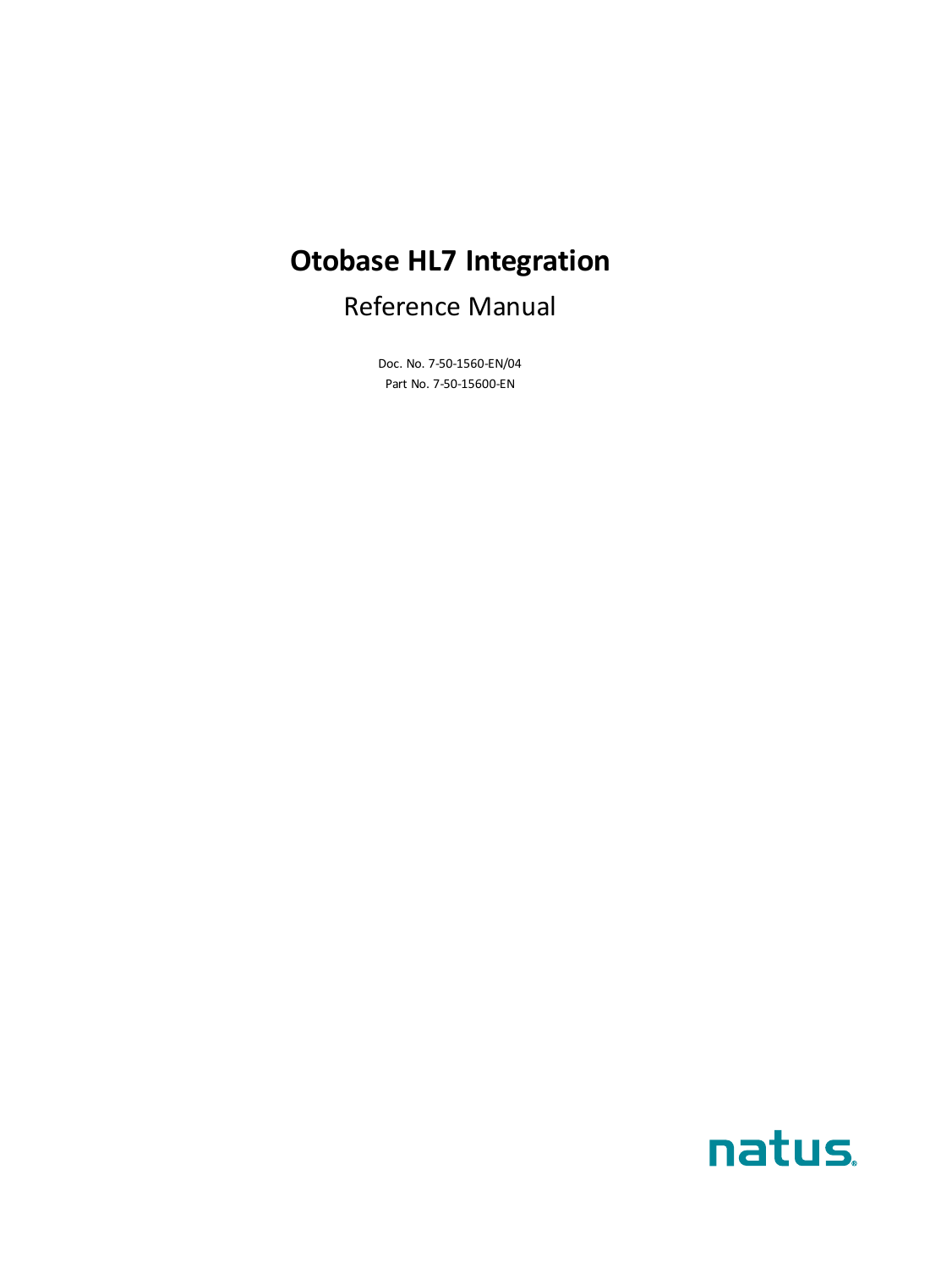# **Otobase HL7 Integration**

# Reference Manual

Doc. No. 7-50-1560-EN/04 Part No. 7-50-15600-EN

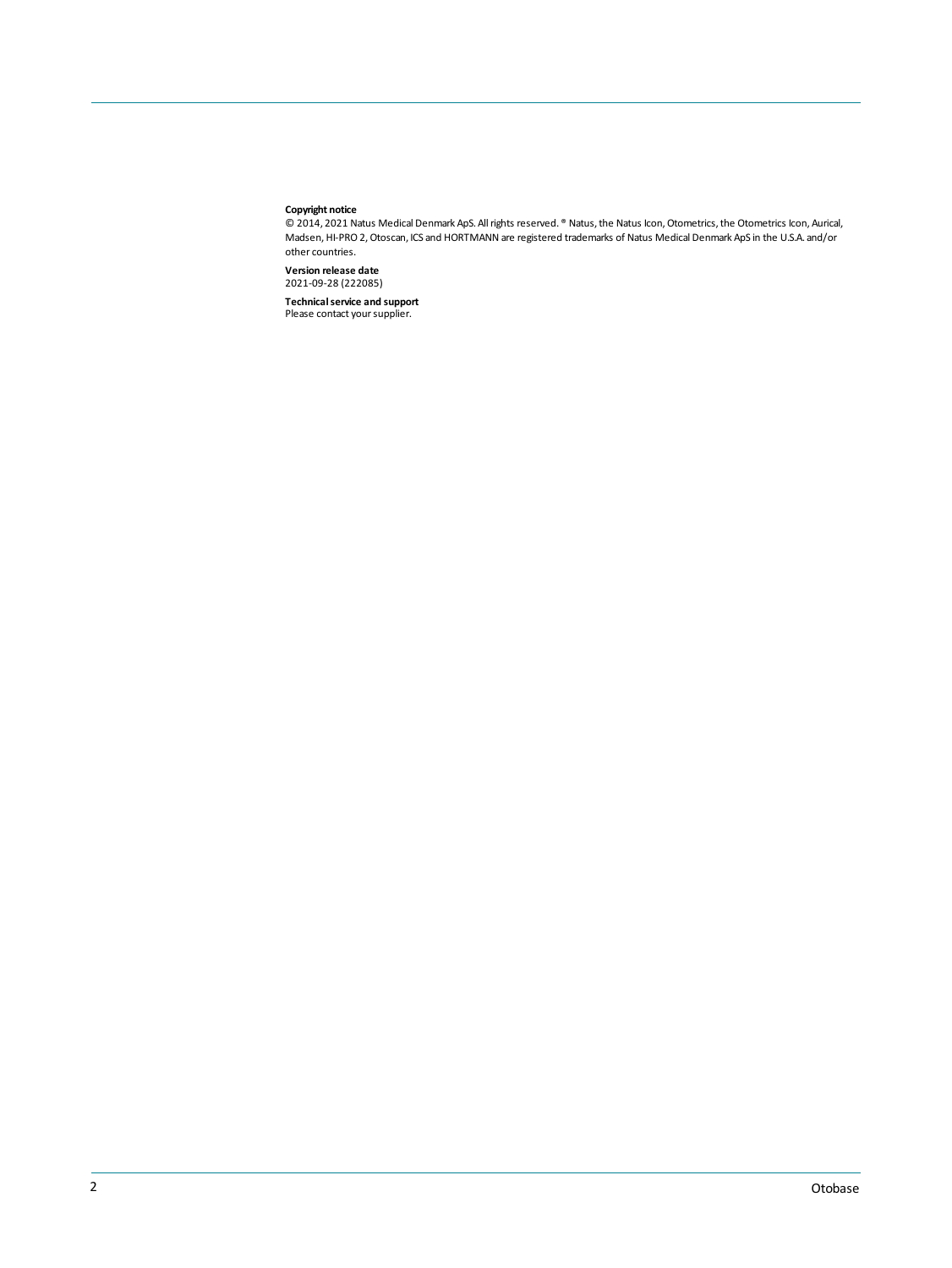#### **Copyright notice**

© 2014, 2021 Natus Medical Denmark ApS. Allrights reserved. ® Natus,the Natus Icon,Otometrics,the Otometrics Icon, Aurical, Madsen,HI-PRO 2,Otoscan, ICS and HORTMANN are registered trademarks of Natus Medical Denmark ApS in the U.S.A. and/or other countries.

**Version release date** 2021-09-28 (222085)

**Technical service and support<br>Please contact your supplier.**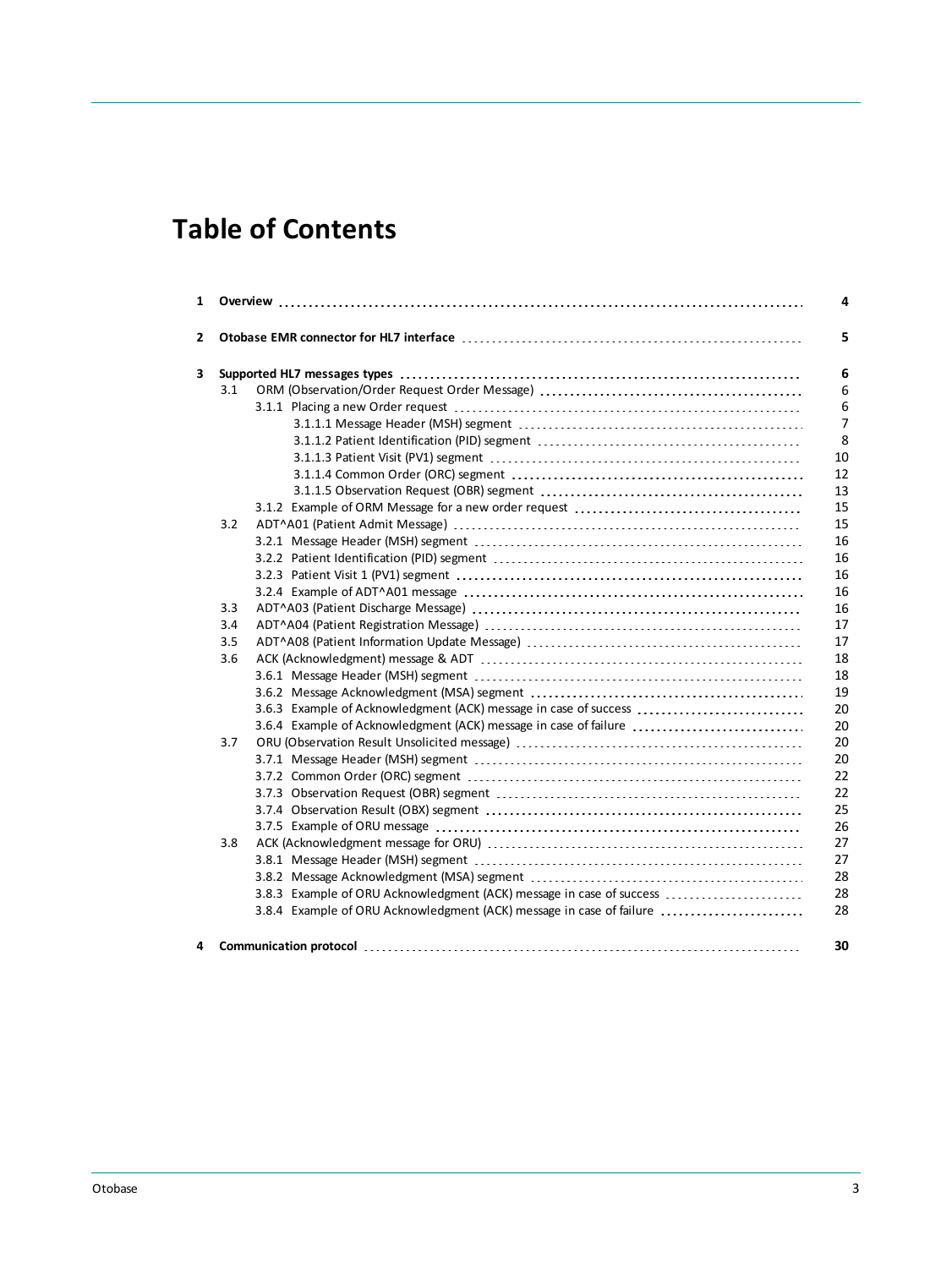# **Table of Contents**

| 3.1 |                                                                      |
|-----|----------------------------------------------------------------------|
|     |                                                                      |
|     |                                                                      |
|     |                                                                      |
|     |                                                                      |
|     |                                                                      |
|     |                                                                      |
|     |                                                                      |
| 3.2 |                                                                      |
|     |                                                                      |
|     |                                                                      |
|     |                                                                      |
|     |                                                                      |
| 3.3 |                                                                      |
| 3.4 |                                                                      |
| 3.5 |                                                                      |
| 3.6 |                                                                      |
|     |                                                                      |
|     |                                                                      |
|     | 3.6.3 Example of Acknowledgment (ACK) message in case of success     |
|     | 3.6.4 Example of Acknowledgment (ACK) message in case of failure     |
| 3.7 |                                                                      |
|     |                                                                      |
|     |                                                                      |
|     |                                                                      |
|     |                                                                      |
|     |                                                                      |
| 3.8 |                                                                      |
|     |                                                                      |
|     |                                                                      |
|     | 3.8.3 Example of ORU Acknowledgment (ACK) message in case of success |
|     | 3.8.4 Example of ORU Acknowledgment (ACK) message in case of failure |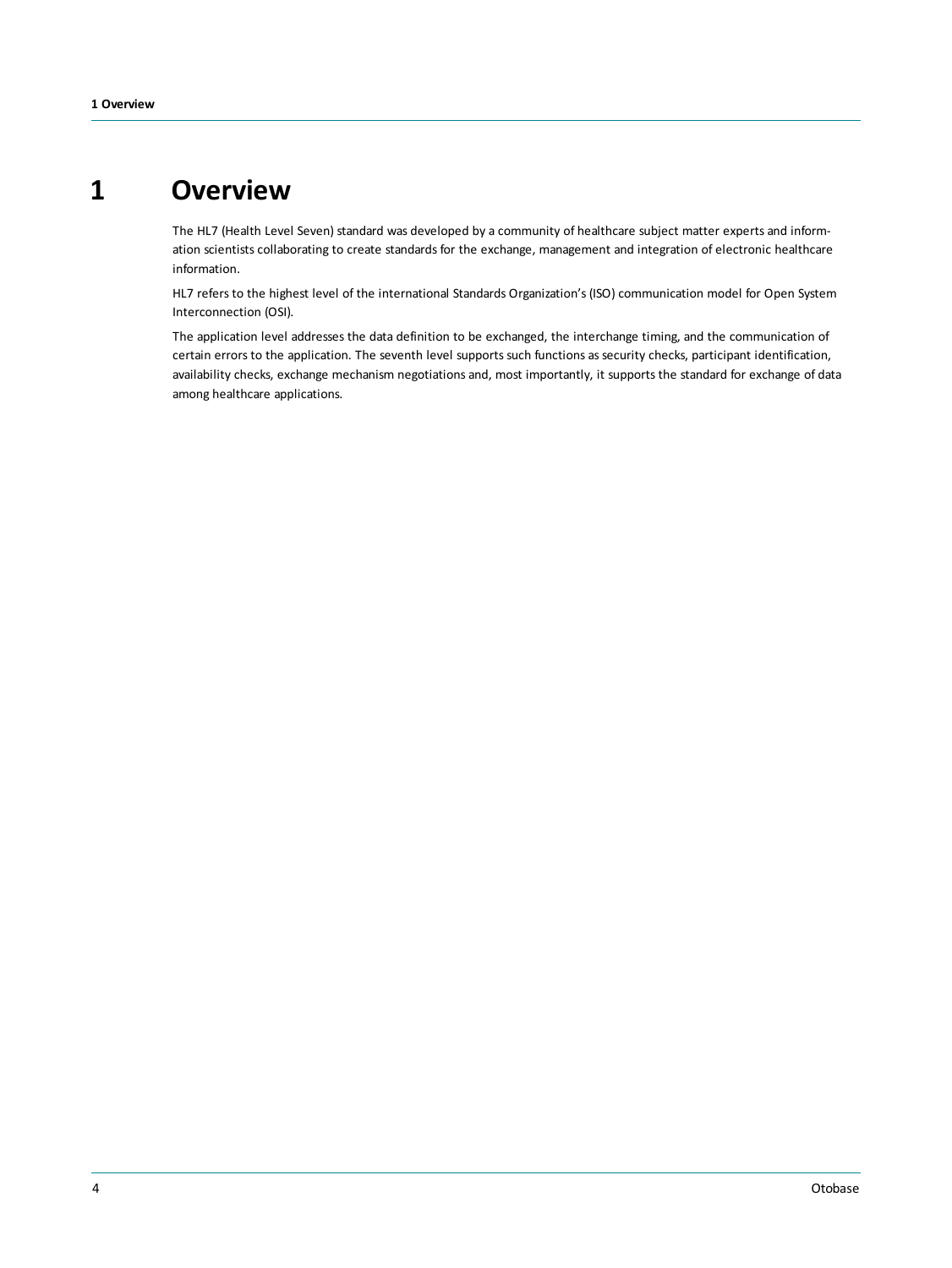# **1 Overview**

<span id="page-3-0"></span>The HL7 (Health Level Seven) standard was developed by a community of healthcare subject matter experts and information scientists collaborating to create standards for the exchange, management and integration of electronic healthcare information.

HL7 refers to the highest level of the international Standards Organization's (ISO) communication model for Open System Interconnection (OSI).

The application level addresses the data definition to be exchanged, the interchange timing, and the communication of certain errors to the application. The seventh level supports such functions as security checks, participant identification, availability checks, exchange mechanism negotiations and, most importantly, it supports the standard for exchange of data among healthcare applications.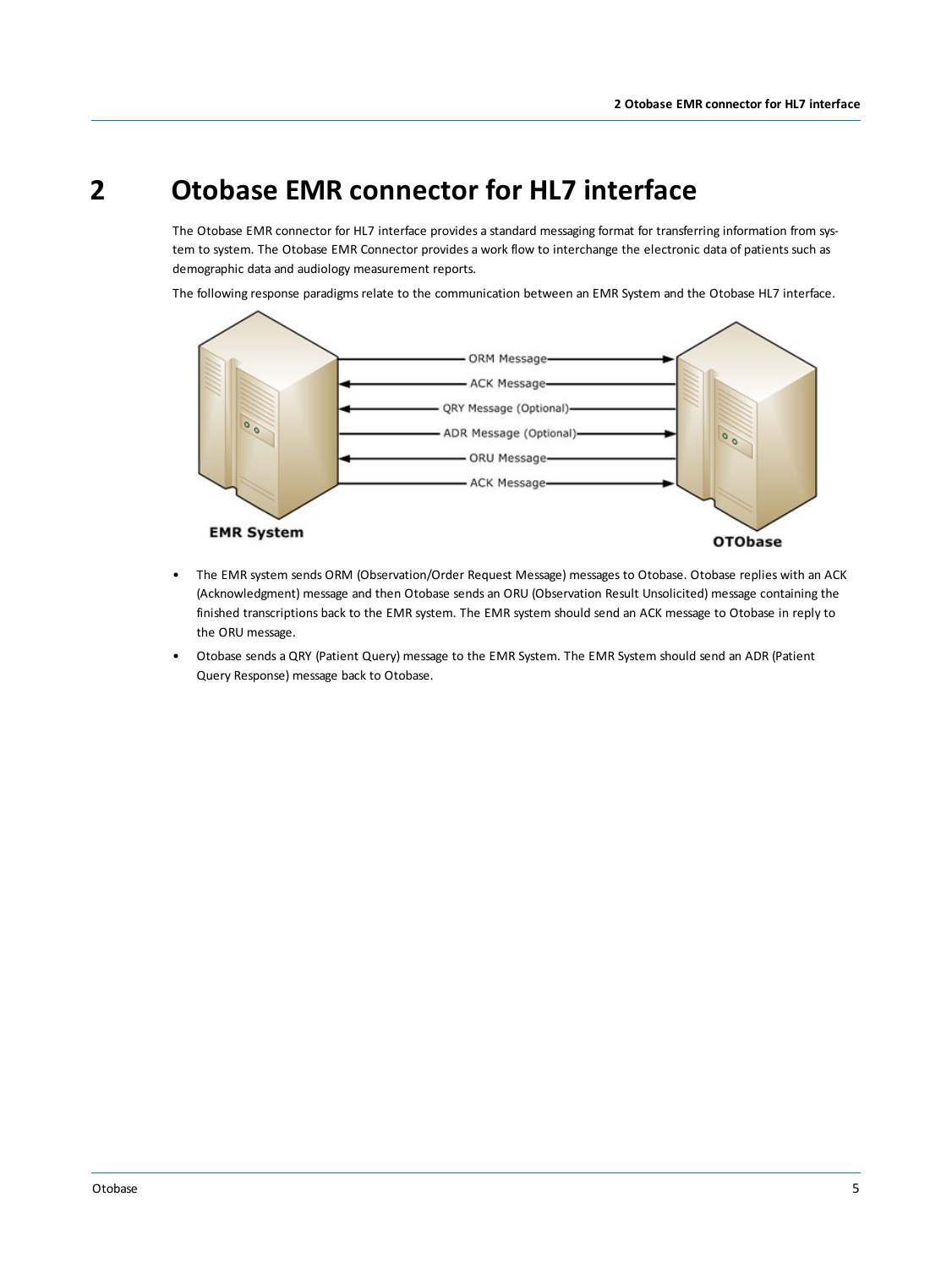# **2 Otobase EMR connector for HL7 interface**

<span id="page-4-0"></span>The Otobase EMR connector for HL7 interface provides a standard messaging format for transferring information from system to system. The Otobase EMR Connector provides a work flow to interchange the electronic data of patients such as demographic data and audiology measurement reports.

The following response paradigms relate to the communication between an EMR System and the Otobase HL7 interface.



- The EMR system sends ORM (Observation/Order Request Message) messages to Otobase. Otobase replies with an ACK (Acknowledgment) message and then Otobase sends an ORU (Observation Result Unsolicited) message containing the finished transcriptions back to the EMR system. The EMR system should send an ACK message to Otobase in reply to the ORU message.
- Otobase sends a QRY (Patient Query) message to the EMR System. The EMR System should send an ADR (Patient Query Response) message back to Otobase.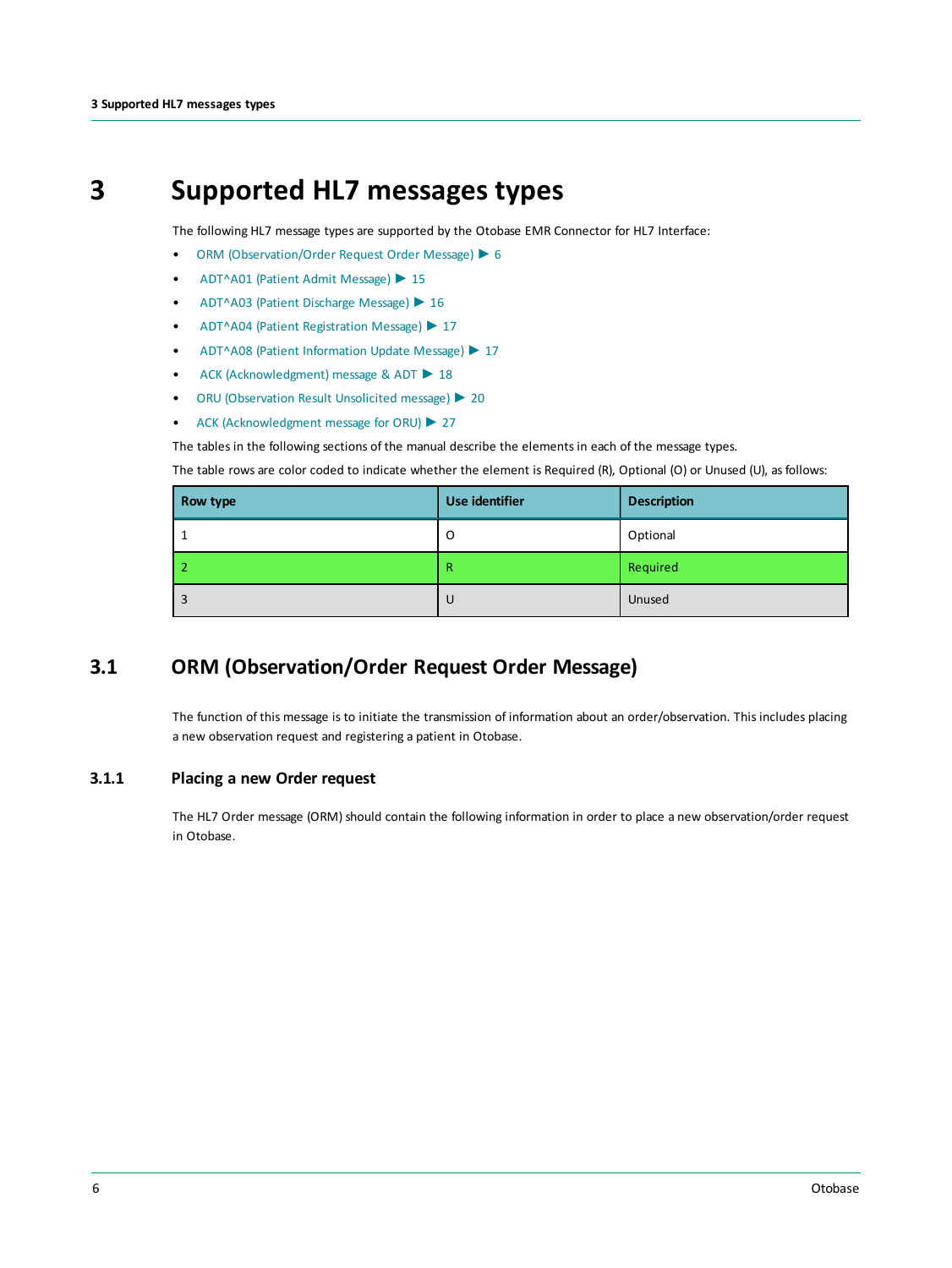# **3 Supported HL7 messages types**

<span id="page-5-0"></span>The following HL7 message types are supported by the Otobase EMR Connector for HL7 Interface:

- ORM [\(Observation/Order](#page-5-1) Request Order Message) ► 6
- [ADT^A01](#page-14-1) (Patient Admit Message) ► 15
- [ADT^A03](#page-15-4) (Patient Discharge Message) ► 16
- ADT^A04 (Patient [Registration](#page-16-0) Message) ► 17
- ADT^A08 (Patient [Information](#page-16-1) Update Message) ► 17
- ACK [\(Acknowledgment\)](#page-17-0) message & ADT ► 18
- ORU [\(Observation](#page-19-2) Result Unsolicited message) ► 20
- ACK [\(Acknowledgment](#page-26-0) message for ORU) ► 27

The tables in the following sections of the manual describe the elements in each of the message types.

The table rows are color coded to indicate whether the element is Required (R), Optional (O) or Unused (U), as follows:

| Row type | Use identifier | <b>Description</b> |
|----------|----------------|--------------------|
|          | O              | Optional           |
|          | R              | Required           |
| 3        | -U             | Unused             |

# **3.1 ORM (Observation/Order Request Order Message)**

<span id="page-5-2"></span><span id="page-5-1"></span>The function of this message is to initiate the transmission of information about an order/observation. This includes placing a new observation request and registering a patient in Otobase.

#### **3.1.1 Placing a new Order request**

The HL7 Order message (ORM) should contain the following information in order to place a new observation/order request in Otobase.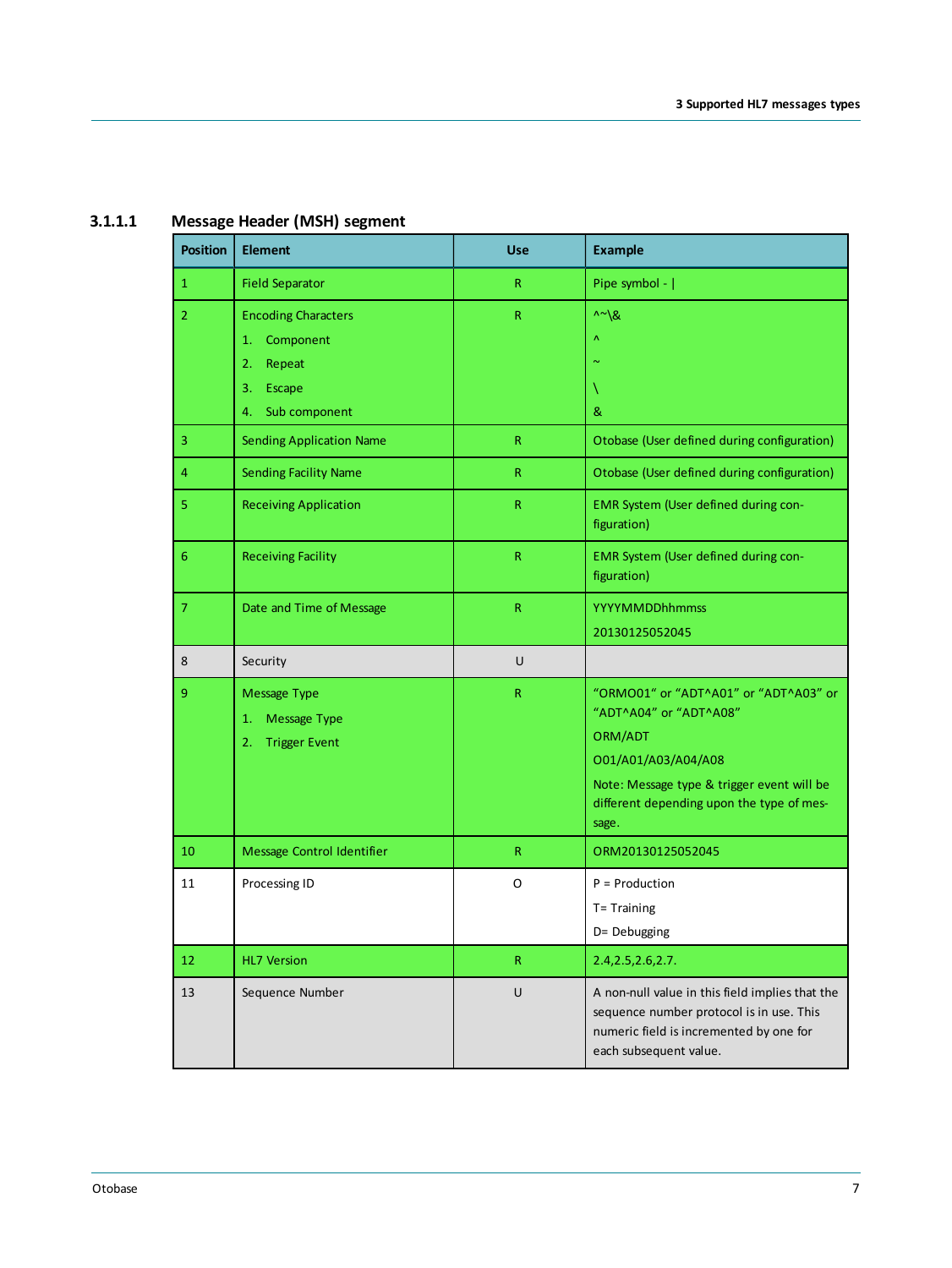<span id="page-6-0"></span>

| <b>Position</b> | <b>Element</b>                  | <b>Use</b>   | <b>Example</b>                                                                                                                                                   |
|-----------------|---------------------------------|--------------|------------------------------------------------------------------------------------------------------------------------------------------------------------------|
| $\mathbf{1}$    | <b>Field Separator</b>          | $\mathsf{R}$ | Pipe symbol -                                                                                                                                                    |
| $\overline{2}$  | <b>Encoding Characters</b>      | $\mathsf{R}$ | $\wedge \sim \mathcal{R}$                                                                                                                                        |
|                 | Component<br>1.                 |              | Λ                                                                                                                                                                |
|                 | 2.<br>Repeat                    |              |                                                                                                                                                                  |
|                 | Escape<br>3.                    |              | V                                                                                                                                                                |
|                 | Sub component<br>4.             |              | &                                                                                                                                                                |
| 3               | <b>Sending Application Name</b> | $\mathsf{R}$ | Otobase (User defined during configuration)                                                                                                                      |
| 4               | <b>Sending Facility Name</b>    | $\mathsf{R}$ | Otobase (User defined during configuration)                                                                                                                      |
| 5               | <b>Receiving Application</b>    | $\mathsf{R}$ | EMR System (User defined during con-<br>figuration)                                                                                                              |
| 6               | <b>Receiving Facility</b>       | $\mathsf{R}$ | EMR System (User defined during con-<br>figuration)                                                                                                              |
| $\overline{7}$  | Date and Time of Message        | $\mathsf{R}$ | <b>YYYYMMDDhhmmss</b>                                                                                                                                            |
|                 |                                 |              | 20130125052045                                                                                                                                                   |
| 8               | Security                        | U            |                                                                                                                                                                  |
| 9               | <b>Message Type</b>             | $\mathsf{R}$ | "ORMO01" or "ADT^A01" or "ADT^A03" or                                                                                                                            |
|                 | <b>Message Type</b><br>1.       |              | "ADT^A04" or "ADT^A08"                                                                                                                                           |
|                 | <b>Trigger Event</b><br>2.      |              | ORM/ADT                                                                                                                                                          |
|                 |                                 |              | 001/A01/A03/A04/A08                                                                                                                                              |
|                 |                                 |              | Note: Message type & trigger event will be<br>different depending upon the type of mes-                                                                          |
|                 |                                 |              | sage.                                                                                                                                                            |
| 10              | Message Control Identifier      | $\mathsf{R}$ | ORM20130125052045                                                                                                                                                |
| 11              | Processing ID                   | O            | $P =$ Production                                                                                                                                                 |
|                 |                                 |              | T= Training                                                                                                                                                      |
|                 |                                 |              | D= Debugging                                                                                                                                                     |
| 12              | <b>HL7 Version</b>              | $\mathsf{R}$ | 2.4, 2.5, 2.6, 2.7.                                                                                                                                              |
| 13              | Sequence Number                 | U            | A non-null value in this field implies that the<br>sequence number protocol is in use. This<br>numeric field is incremented by one for<br>each subsequent value. |
|                 |                                 |              |                                                                                                                                                                  |

### **3.1.1.1 Message Header (MSH) segment**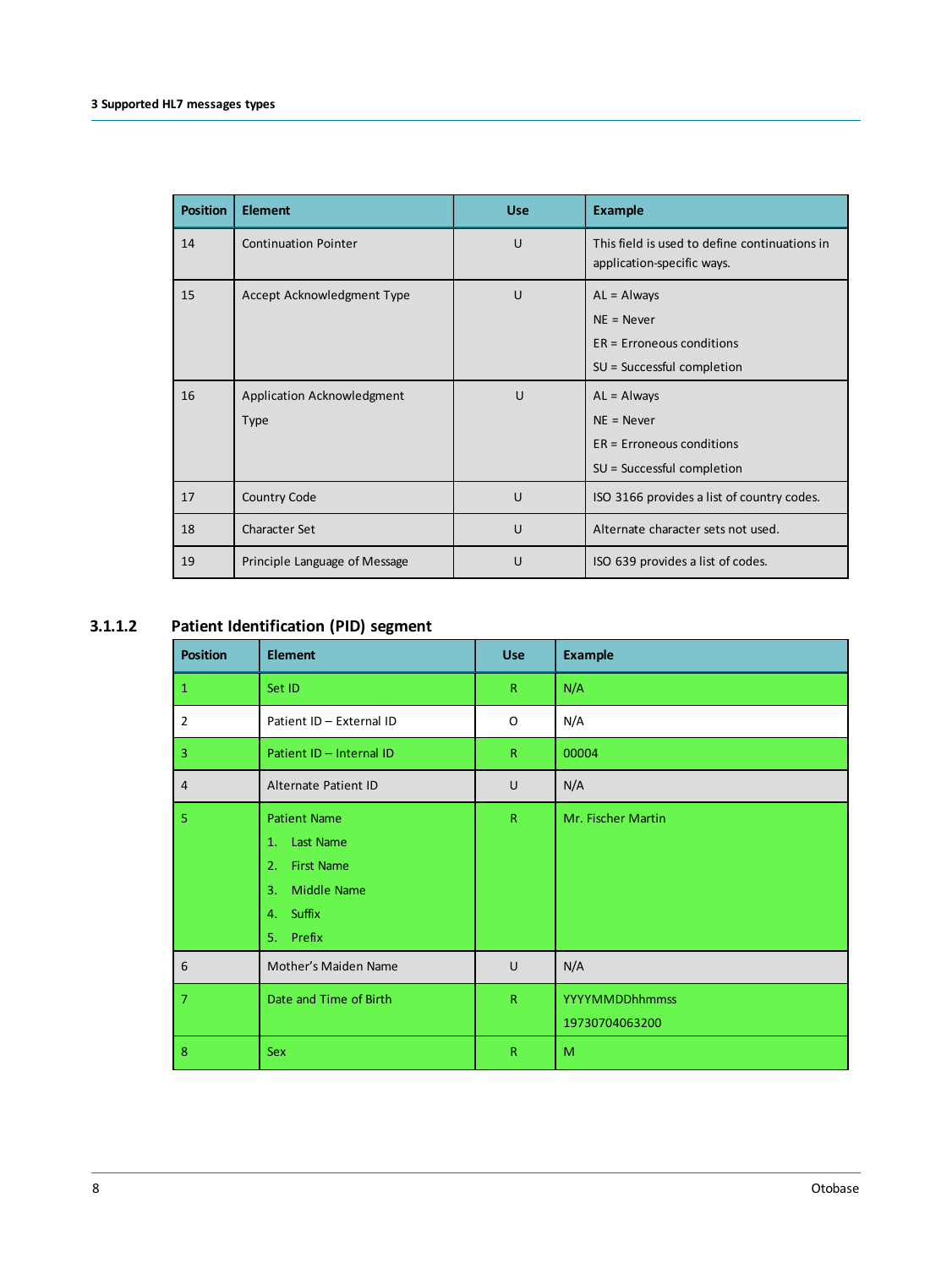| <b>Position</b> | <b>Element</b>                            | <b>Use</b> | <b>Example</b>                                                                               |
|-----------------|-------------------------------------------|------------|----------------------------------------------------------------------------------------------|
| 14              | <b>Continuation Pointer</b>               | U          | This field is used to define continuations in<br>application-specific ways.                  |
| 15              | Accept Acknowledgment Type                | U          | $AL =$ Always<br>$NE = Never$<br>$ER = Erroneous conditions$<br>$SU = Successful completion$ |
| 16              | Application Acknowledgment<br><b>Type</b> | U          | $AL =$ Always<br>$NE = Never$<br>$ER = Erroneous conditions$<br>$SU = Successful completion$ |
| 17              | Country Code                              | U          | ISO 3166 provides a list of country codes.                                                   |
| 18              | <b>Character Set</b>                      | U          | Alternate character sets not used.                                                           |
| 19              | Principle Language of Message             | U          | ISO 639 provides a list of codes.                                                            |

### **3.1.1.2 Patient Identification (PID) segment**

<span id="page-7-0"></span>

| <b>Position</b> | <b>Element</b>                                                                                             | <b>Use</b>   | <b>Example</b>                          |
|-----------------|------------------------------------------------------------------------------------------------------------|--------------|-----------------------------------------|
| $\mathbf{1}$    | Set ID                                                                                                     | $\mathsf{R}$ | N/A                                     |
| $\overline{2}$  | Patient ID - External ID                                                                                   | O            | N/A                                     |
| $\overline{3}$  | Patient ID - Internal ID                                                                                   | R            | 00004                                   |
| $\overline{4}$  | Alternate Patient ID                                                                                       | U            | N/A                                     |
| 5               | <b>Patient Name</b><br>1. Last Name<br><b>First Name</b><br>2.<br>3. Middle Name<br>4. Suffix<br>5. Prefix | $\mathsf{R}$ | Mr. Fischer Martin                      |
| 6               | Mother's Maiden Name                                                                                       | U            | N/A                                     |
| $\overline{7}$  | Date and Time of Birth                                                                                     | $\mathsf{R}$ | <b>YYYYMMDDhhmmss</b><br>19730704063200 |
| 8               | <b>Sex</b>                                                                                                 | R            | M                                       |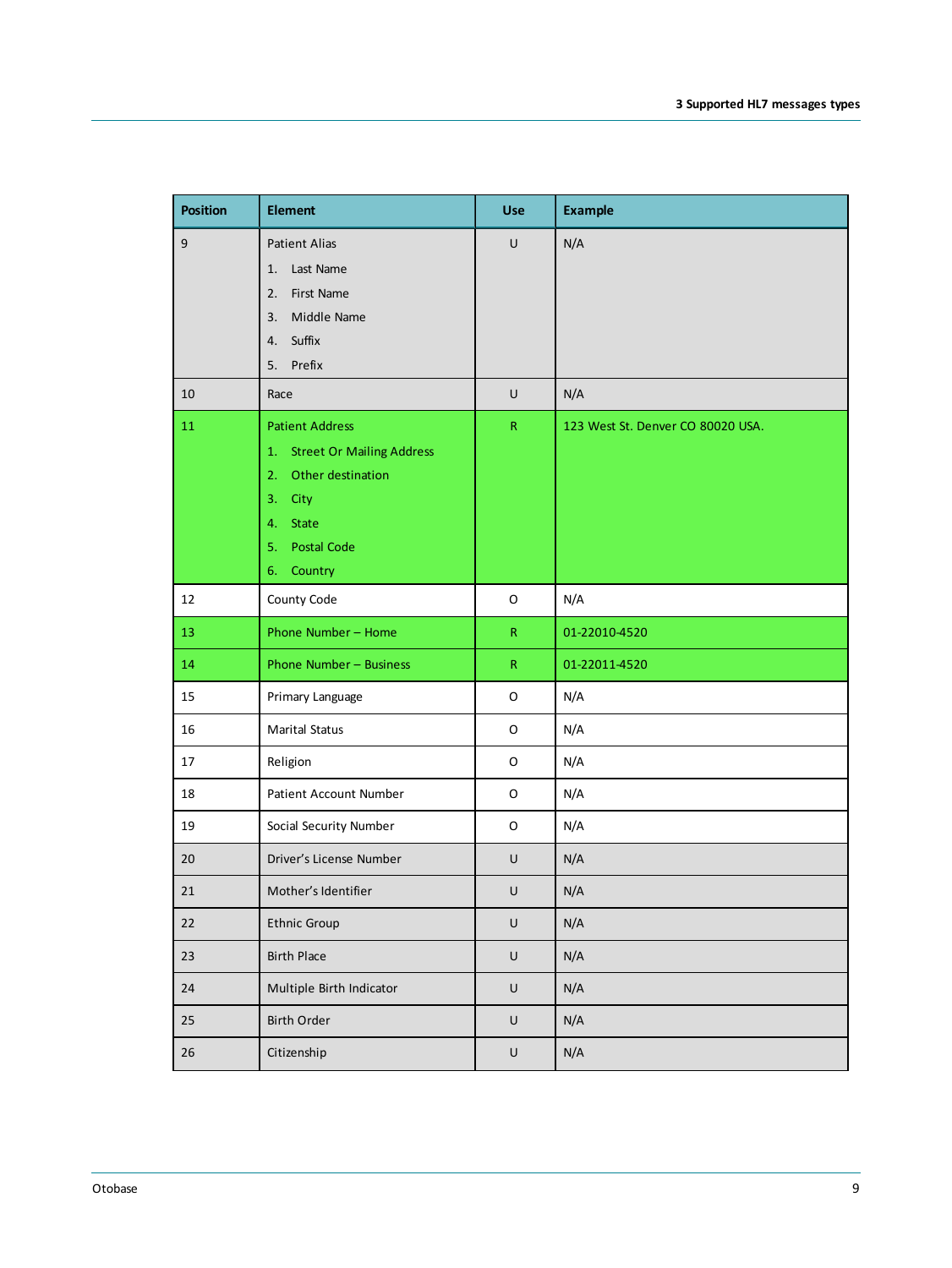| <b>Position</b> | <b>Element</b>                                                                                                                        | <b>Use</b>   | <b>Example</b>                    |
|-----------------|---------------------------------------------------------------------------------------------------------------------------------------|--------------|-----------------------------------|
| $\overline{9}$  | <b>Patient Alias</b><br>Last Name<br>1.<br>2. First Name<br>3. Middle Name<br>4. Suffix<br>Prefix<br>5.                               | $\sf U$      | N/A                               |
| 10              | Race                                                                                                                                  | $\sf U$      | N/A                               |
| 11              | <b>Patient Address</b><br>1. Street Or Mailing Address<br>2. Other destination<br>3. City<br>4. State<br>5. Postal Code<br>6. Country | ${\sf R}$    | 123 West St. Denver CO 80020 USA. |
| 12              | County Code                                                                                                                           | O            | N/A                               |
| 13              | Phone Number - Home                                                                                                                   | $\mathsf{R}$ | 01-22010-4520                     |
| 14              | Phone Number - Business                                                                                                               | ${\sf R}$    | 01-22011-4520                     |
| 15              | Primary Language                                                                                                                      | O            | N/A                               |
| 16              | <b>Marital Status</b>                                                                                                                 | O            | N/A                               |
| 17              | Religion                                                                                                                              | O            | N/A                               |
| 18              | Patient Account Number                                                                                                                | O            | N/A                               |
| 19              | Social Security Number                                                                                                                | O            | N/A                               |
| 20              | Driver's License Number                                                                                                               | $\sf U$      | N/A                               |
| 21              | Mother's Identifier                                                                                                                   | $\sf U$      | N/A                               |
| $22\,$          | <b>Ethnic Group</b>                                                                                                                   | $\sf U$      | N/A                               |
| 23              | <b>Birth Place</b>                                                                                                                    | $\sf U$      | N/A                               |
| 24              | Multiple Birth Indicator                                                                                                              | $\sf U$      | N/A                               |
| 25              | Birth Order                                                                                                                           | $\sf U$      | N/A                               |
| $26\,$          | Citizenship                                                                                                                           | $\sf U$      | N/A                               |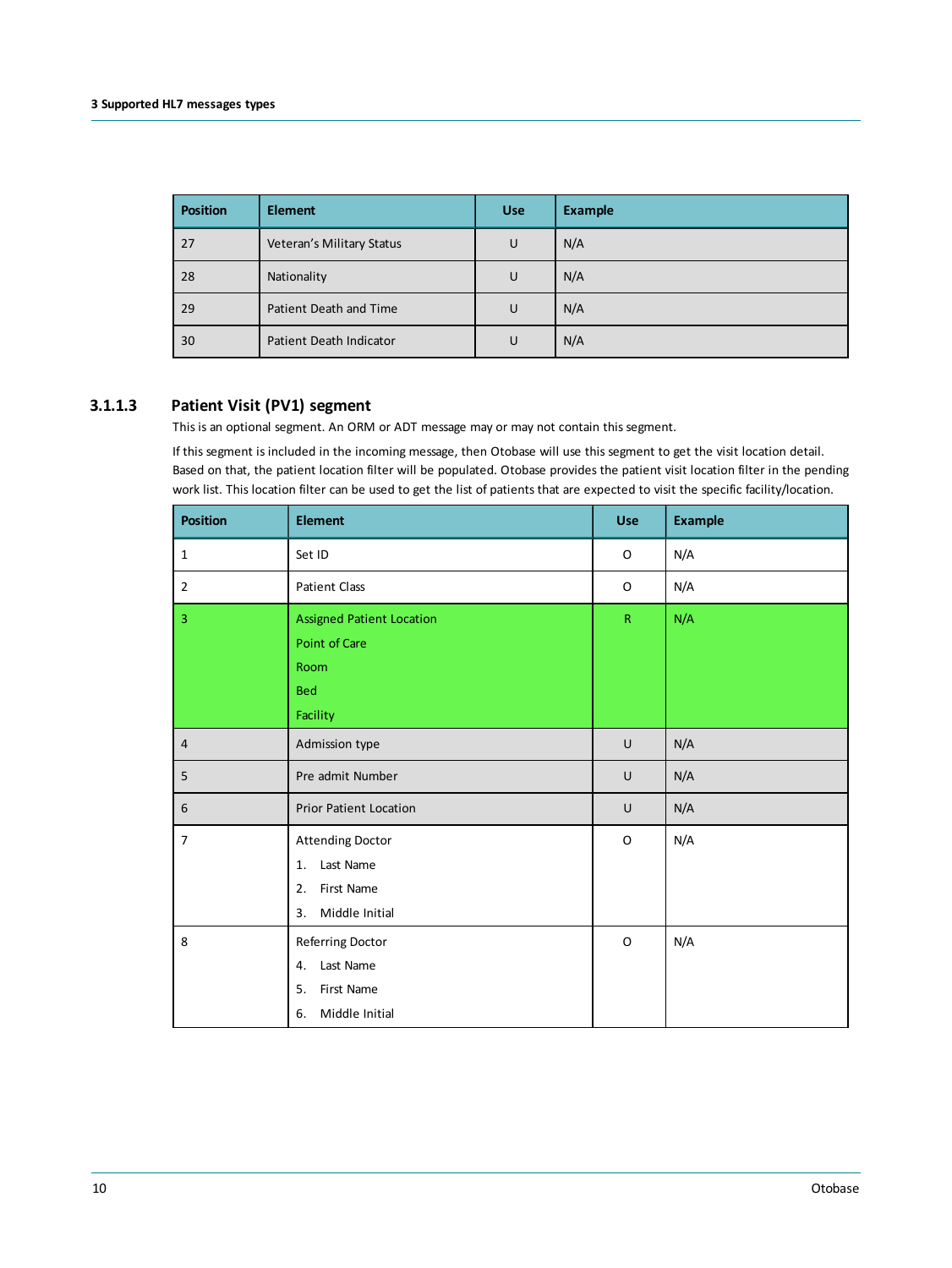| <b>Position</b> | <b>Element</b>            | <b>Use</b> | <b>Example</b> |
|-----------------|---------------------------|------------|----------------|
| 27              | Veteran's Military Status | U          | N/A            |
| 28              | Nationality               | U          | N/A            |
| 29              | Patient Death and Time    | U          | N/A            |
| 30              | Patient Death Indicator   | U          | N/A            |

#### **3.1.1.3 Patient Visit (PV1) segment**

<span id="page-9-0"></span>This is an optional segment. An ORM or ADT message may or may not contain this segment.

If this segment is included in the incoming message, then Otobase will use this segment to get the visit location detail. Based on that, the patient location filter will be populated. Otobase provides the patient visit location filter in the pending work list. This location filter can be used to get the list of patients that are expected to visit the specific facility/location.

| <b>Position</b>         | <b>Element</b>                                                                         | <b>Use</b>   | <b>Example</b> |
|-------------------------|----------------------------------------------------------------------------------------|--------------|----------------|
| $\mathbf{1}$            | Set ID                                                                                 | O            | N/A            |
| $\overline{2}$          | <b>Patient Class</b>                                                                   | O            | N/A            |
| $\overline{\mathbf{3}}$ | <b>Assigned Patient Location</b><br>Point of Care<br>Room<br><b>Bed</b><br>Facility    | $\mathsf{R}$ | N/A            |
| $\overline{4}$          | Admission type                                                                         | U            | N/A            |
| 5                       | Pre admit Number                                                                       | U            | N/A            |
| $\boldsymbol{6}$        | <b>Prior Patient Location</b>                                                          | U            | N/A            |
| $\overline{7}$          | <b>Attending Doctor</b><br>Last Name<br>1.<br>2.<br>First Name<br>Middle Initial<br>3. | O            | N/A            |
| 8                       | Referring Doctor<br>4. Last Name<br>First Name<br>5.<br>Middle Initial<br>6.           | O            | N/A            |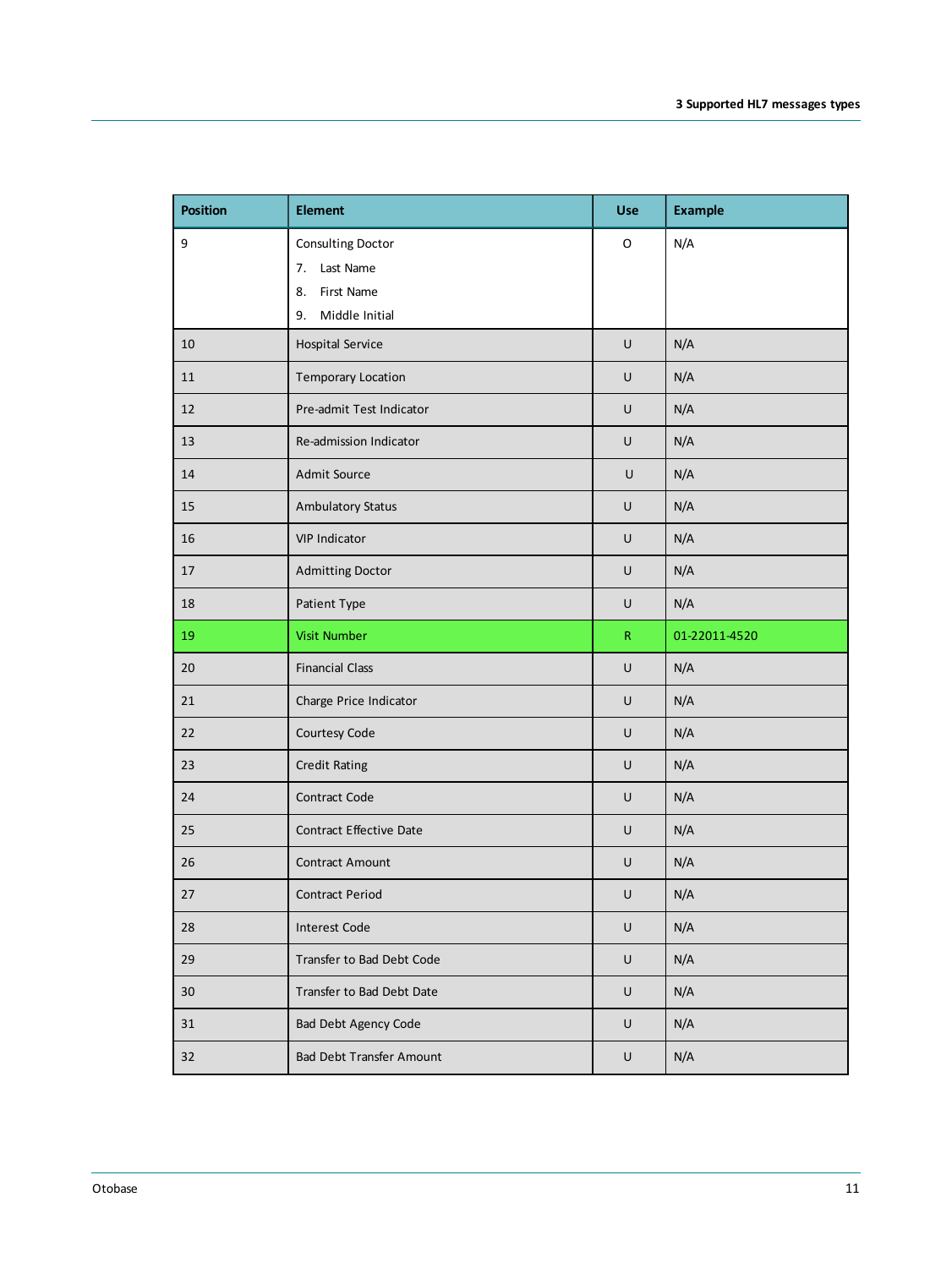| <b>Position</b> | <b>Element</b>                       | <b>Use</b>  | <b>Example</b> |
|-----------------|--------------------------------------|-------------|----------------|
| 9               | Consulting Doctor<br>Last Name<br>7. | $\mathsf O$ | N/A            |
|                 | First Name<br>8.                     |             |                |
|                 | Middle Initial<br>9.                 |             |                |
| 10              | <b>Hospital Service</b>              | $\cup$      | N/A            |
| 11              | <b>Temporary Location</b>            | U           | N/A            |
| 12              | Pre-admit Test Indicator             | $\cup$      | N/A            |
| 13              | Re-admission Indicator               | U           | N/A            |
| 14              | Admit Source                         | U           | N/A            |
| 15              | <b>Ambulatory Status</b>             | U           | N/A            |
| 16              | <b>VIP Indicator</b>                 | U           | N/A            |
| 17              | <b>Admitting Doctor</b>              | U           | N/A            |
| 18              | Patient Type                         | U           | N/A            |
| 19              | <b>Visit Number</b>                  | ${\sf R}$   | 01-22011-4520  |
| 20              | <b>Financial Class</b>               | $\cup$      | N/A            |
| 21              | Charge Price Indicator               | U           | N/A            |
| 22              | Courtesy Code                        | U           | N/A            |
| 23              | <b>Credit Rating</b>                 | U           | N/A            |
| 24              | Contract Code                        | U           | N/A            |
| 25              | <b>Contract Effective Date</b>       | $\sf U$     | N/A            |
| 26              | <b>Contract Amount</b>               | U           | N/A            |
| 27              | <b>Contract Period</b>               | U           | N/A            |
| 28              | <b>Interest Code</b>                 | $\sf U$     | N/A            |
| 29              | Transfer to Bad Debt Code            | U           | N/A            |
| 30              | Transfer to Bad Debt Date            | $\cup$      | N/A            |
| 31              | <b>Bad Debt Agency Code</b>          | $\cup$      | N/A            |
| 32              | Bad Debt Transfer Amount             | U           | N/A            |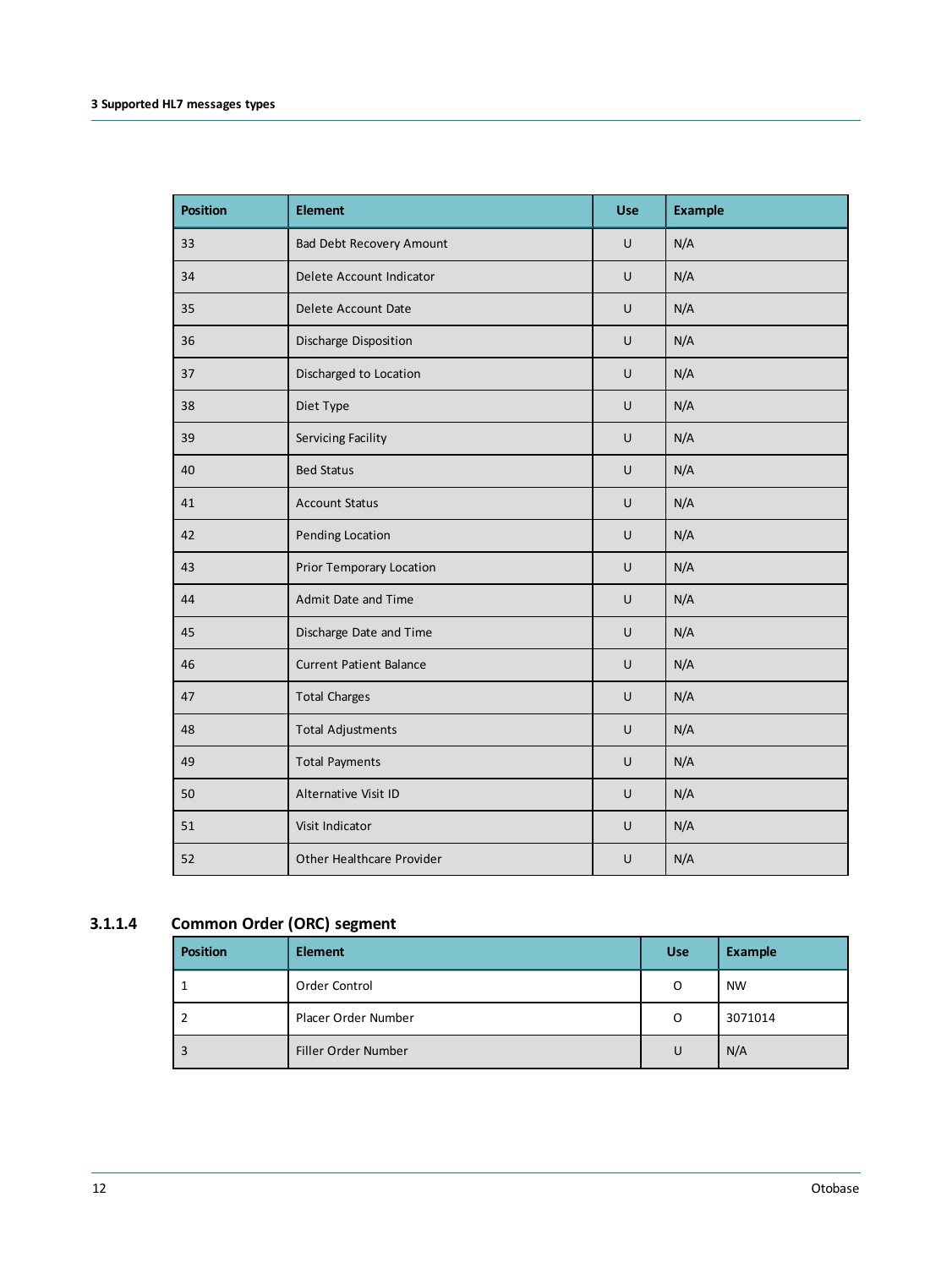| <b>Position</b> | <b>Element</b>                  | Use    | <b>Example</b> |
|-----------------|---------------------------------|--------|----------------|
| 33              | <b>Bad Debt Recovery Amount</b> | $\cup$ | N/A            |
| 34              | Delete Account Indicator        | U      | N/A            |
| 35              | Delete Account Date             | $\cup$ | N/A            |
| 36              | Discharge Disposition           | U      | N/A            |
| 37              | Discharged to Location          | $\cup$ | N/A            |
| 38              | Diet Type                       | U      | N/A            |
| 39              | Servicing Facility              | $\cup$ | N/A            |
| 40              | <b>Bed Status</b>               | U      | N/A            |
| 41              | <b>Account Status</b>           | $\cup$ | N/A            |
| 42              | Pending Location                | U      | N/A            |
| 43              | Prior Temporary Location        | U      | N/A            |
| 44              | Admit Date and Time             | U      | N/A            |
| 45              | Discharge Date and Time         | U      | N/A            |
| 46              | <b>Current Patient Balance</b>  | $\cup$ | N/A            |
| 47              | <b>Total Charges</b>            | $\cup$ | N/A            |
| 48              | <b>Total Adjustments</b>        | U      | N/A            |
| 49              | <b>Total Payments</b>           | U      | N/A            |
| 50              | Alternative Visit ID            | U      | N/A            |
| 51              | Visit Indicator                 | $\cup$ | N/A            |
| 52              | Other Healthcare Provider       | U      | N/A            |

# **3.1.1.4 Common Order (ORC) segment**

<span id="page-11-0"></span>

| <b>Position</b> | <b>Element</b>      | <b>Use</b> | <b>Example</b> |
|-----------------|---------------------|------------|----------------|
|                 | Order Control       | O          | <b>NW</b>      |
|                 | Placer Order Number | O          | 3071014        |
|                 | Filler Order Number | U          | N/A            |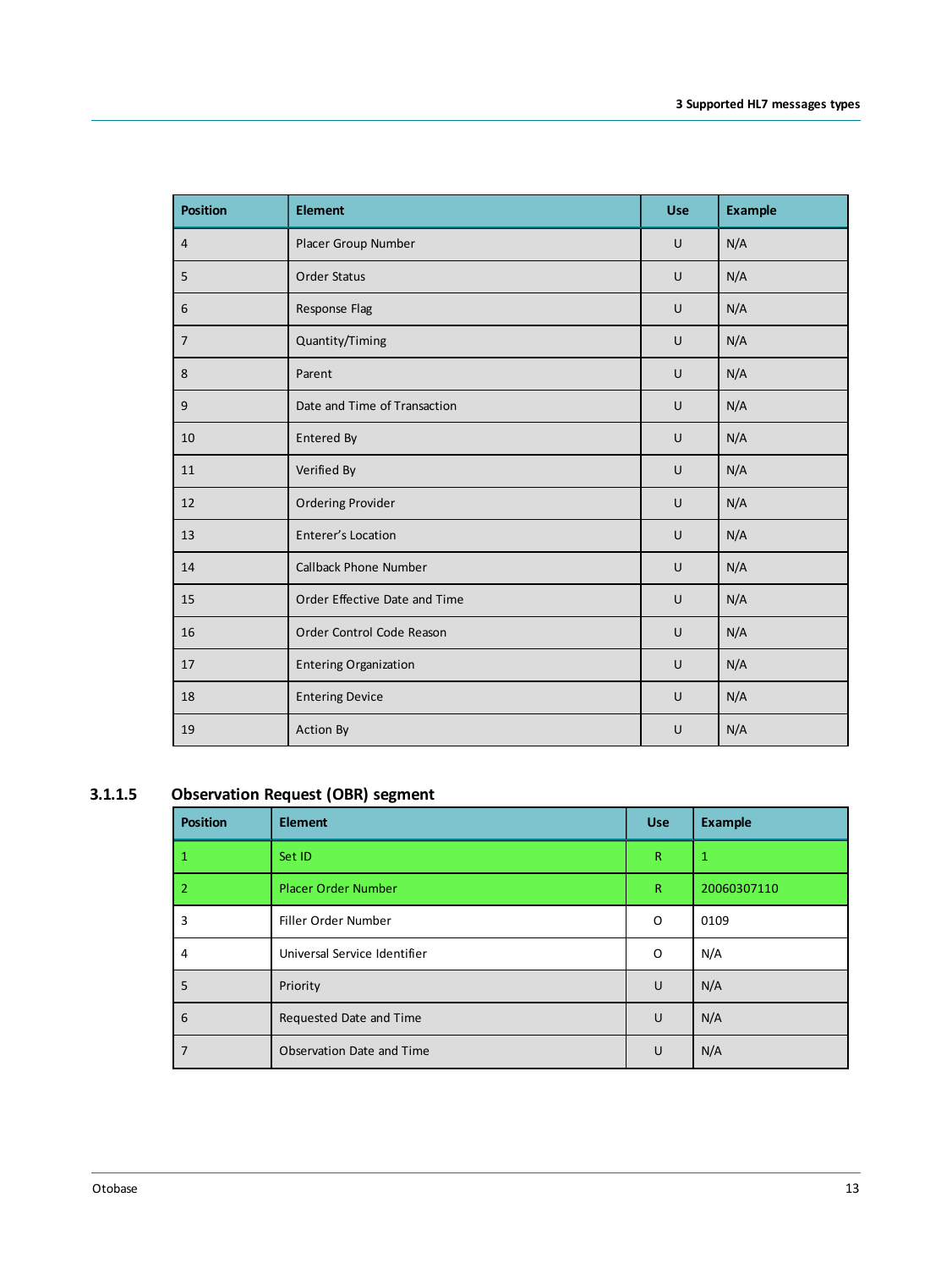| <b>Position</b> | <b>Element</b>                | <b>Use</b> | <b>Example</b> |
|-----------------|-------------------------------|------------|----------------|
| $\overline{4}$  | Placer Group Number           | U          | N/A            |
| 5               | <b>Order Status</b>           | U          | N/A            |
| 6               | Response Flag                 | U          | N/A            |
| $\overline{7}$  | Quantity/Timing               | U          | N/A            |
| 8               | Parent                        | U          | N/A            |
| 9               | Date and Time of Transaction  | U          | N/A            |
| 10              | Entered By                    | U          | N/A            |
| 11              | Verified By                   | U          | N/A            |
| 12              | <b>Ordering Provider</b>      | U          | N/A            |
| 13              | Enterer's Location            | U          | N/A            |
| 14              | <b>Callback Phone Number</b>  | U          | N/A            |
| 15              | Order Effective Date and Time | U          | N/A            |
| 16              | Order Control Code Reason     | U          | N/A            |
| 17              | <b>Entering Organization</b>  | U          | N/A            |
| 18              | <b>Entering Device</b>        | U          | N/A            |
| 19              | Action By                     | U          | N/A            |

### **3.1.1.5 Observation Request (OBR) segment**

<span id="page-12-0"></span>

| <b>Position</b> | <b>Element</b>               | <b>Use</b>   | <b>Example</b> |
|-----------------|------------------------------|--------------|----------------|
| 1               | Set ID                       | $\mathsf{R}$ | 1              |
| 2               | <b>Placer Order Number</b>   | $\mathsf{R}$ | 20060307110    |
| 3               | Filler Order Number          | O            | 0109           |
| 4               | Universal Service Identifier | O            | N/A            |
| 5               | Priority                     | U            | N/A            |
| 6               | Requested Date and Time      | U            | N/A            |
| 7               | Observation Date and Time    | U            | N/A            |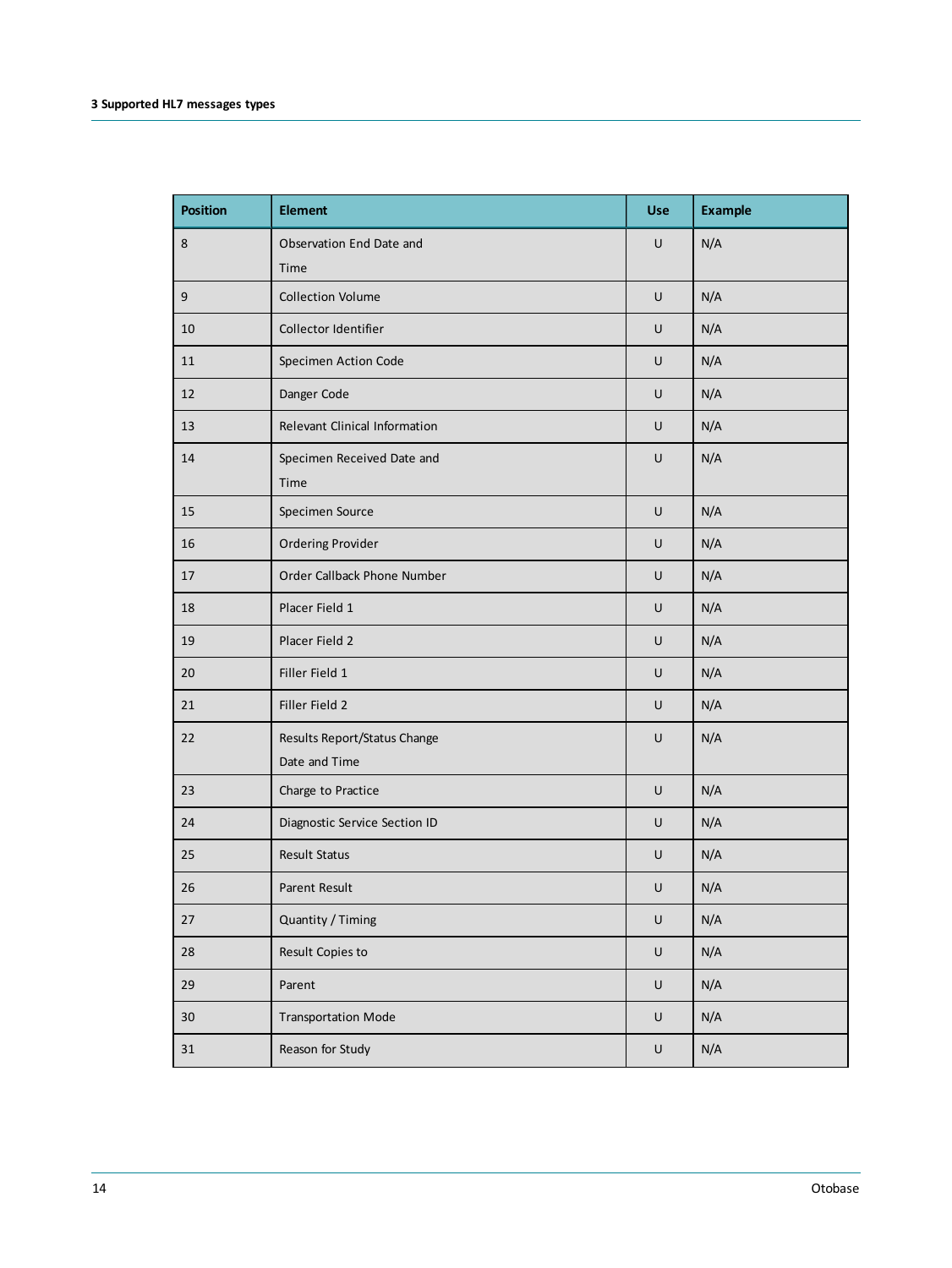| <b>Position</b> | <b>Element</b>                                | <b>Use</b> | <b>Example</b> |
|-----------------|-----------------------------------------------|------------|----------------|
| 8               | Observation End Date and<br>Time              | U          | N/A            |
| 9               | <b>Collection Volume</b>                      | $\sf U$    | N/A            |
| 10              | Collector Identifier                          | U          | N/A            |
| 11              | Specimen Action Code                          | U          | N/A            |
| 12              | Danger Code                                   | U          | N/A            |
| 13              | <b>Relevant Clinical Information</b>          | U          | N/A            |
| 14              | Specimen Received Date and<br>Time            | $\cup$     | N/A            |
| 15              | Specimen Source                               | U          | N/A            |
| 16              | <b>Ordering Provider</b>                      | U          | N/A            |
| 17              | Order Callback Phone Number                   | U          | N/A            |
| 18              | Placer Field 1                                | U          | N/A            |
| 19              | Placer Field 2                                | $\cup$     | N/A            |
| 20              | Filler Field 1                                | U          | N/A            |
| 21              | Filler Field 2                                | U          | N/A            |
| 22              | Results Report/Status Change<br>Date and Time | U          | N/A            |
| 23              | Charge to Practice                            | U          | N/A            |
| 24              | Diagnostic Service Section ID                 | $\cup$     | N/A            |
| 25              | <b>Result Status</b>                          | U          | N/A            |
| 26              | Parent Result                                 | U          | N/A            |
| $27\,$          | Quantity / Timing                             | $\sf U$    | N/A            |
| ${\bf 28}$      | Result Copies to                              | $\sf U$    | N/A            |
| 29              | Parent                                        | $\sf U$    | N/A            |
| $30\,$          | <b>Transportation Mode</b>                    | $\sf U$    | N/A            |
| 31              | Reason for Study                              | $\sf U$    | N/A            |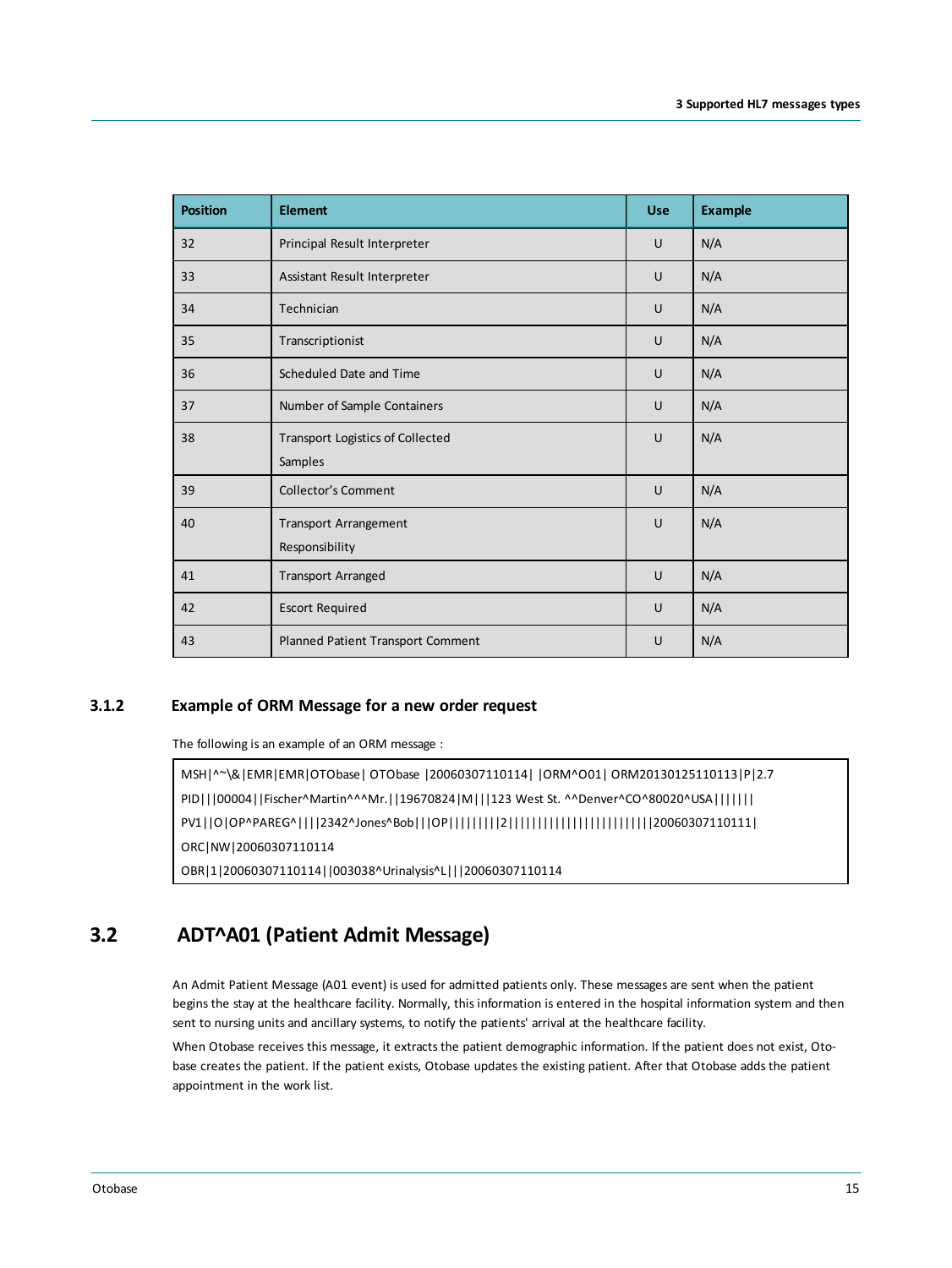| <b>Position</b> | <b>Element</b>                                     | <b>Use</b> | <b>Example</b> |
|-----------------|----------------------------------------------------|------------|----------------|
| 32              | Principal Result Interpreter                       | U          | N/A            |
| 33              | Assistant Result Interpreter                       | U          | N/A            |
| 34              | Technician                                         | U          | N/A            |
| 35              | Transcriptionist                                   | U          | N/A            |
| 36              | Scheduled Date and Time                            | U          | N/A            |
| 37              | Number of Sample Containers                        | U          | N/A            |
| 38              | <b>Transport Logistics of Collected</b><br>Samples | U          | N/A            |
| 39              | <b>Collector's Comment</b>                         | U          | N/A            |
| 40              | <b>Transport Arrangement</b><br>Responsibility     | U          | N/A            |
| 41              | <b>Transport Arranged</b>                          | U          | N/A            |
| 42              | <b>Escort Required</b>                             | U          | N/A            |
| 43              | Planned Patient Transport Comment                  | U          | N/A            |

#### **3.1.2 Example of ORM Message for a new order request**

<span id="page-14-0"></span>The following is an example of an ORM message :

MSH|^~\&|EMR|EMR|OTObase| OTObase |20060307110114| |ORM^O01| ORM20130125110113|P|2.7 PID|||00004||Fischer^Martin^^^Mr.||19670824|M|||123 West St. ^^Denver^CO^80020^USA||||||| PV1||O|OP^PAREG^||||2342^Jones^Bob|||OP|||||||||2|||||||||||||||||||||||||20060307110111| ORC|NW|20060307110114 OBR|1|20060307110114||003038^Urinalysis^L|||20060307110114

## **3.2 ADT^A01 (Patient Admit Message)**

<span id="page-14-1"></span>An Admit Patient Message (A01 event) is used for admitted patients only. These messages are sent when the patient begins the stay at the healthcare facility. Normally, this information is entered in the hospital information system and then sent to nursing units and ancillary systems, to notify the patients' arrival at the healthcare facility.

When Otobase receives this message, it extracts the patient demographic information. If the patient does not exist, Otobase creates the patient. If the patient exists, Otobase updates the existing patient. After that Otobase adds the patient appointment in the work list.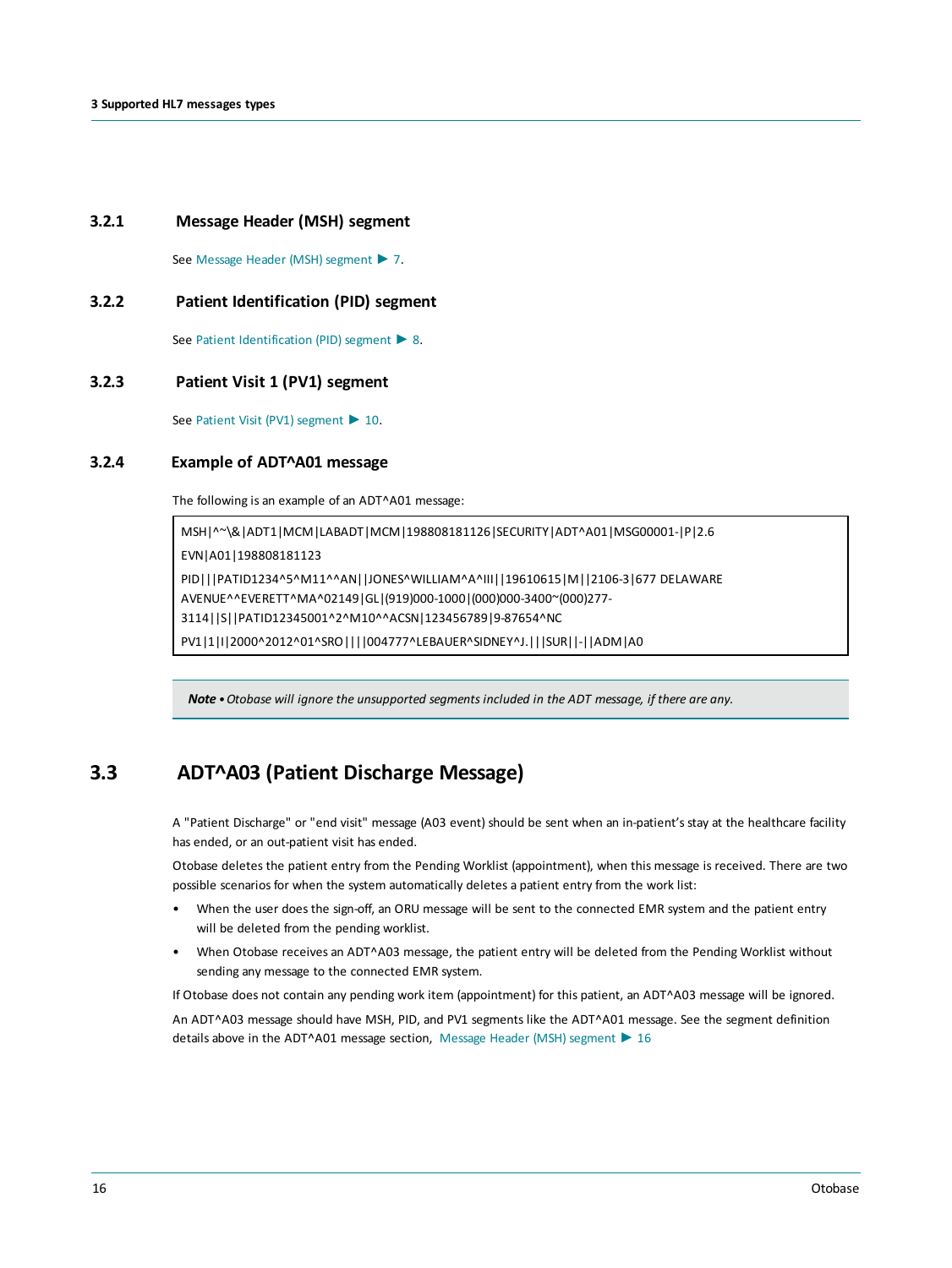#### **3.2.1 Message Header (MSH) segment**

<span id="page-15-1"></span><span id="page-15-0"></span>See Message Header (MSH) [segment](#page-6-0) ► 7.

#### **3.2.2 Patient Identification (PID) segment**

<span id="page-15-2"></span>See Patient [Identification](#page-7-0) (PID) segment ▶ 8.

#### **3.2.3 Patient Visit 1 (PV1) segment**

<span id="page-15-3"></span>See Patient Visit (PV1) [segment](#page-9-0) ▶ 10.

#### **3.2.4 Example of ADT^A01 message**

The following is an example of an ADT^A01 message:

MSH|^~\&|ADT1|MCM|LABADT|MCM|198808181126|SECURITY|ADT^A01|MSG00001-|P|2.6 EVN|A01|198808181123 PID|||PATID1234^5^M11^^AN||JONES^WILLIAM^A^III||19610615|M||2106-3|677 DELAWARE AVENUE^^EVERETT^MA^02149|GL|(919)000-1000|(000)000-3400~(000)277- 3114||S||PATID12345001^2^M10^^ACSN|123456789|9-87654^NC PV1|1|I|2000^2012^01^SRO||||004777^LEBAUER^SIDNEY^J.|||SUR||-||ADM|A0

<span id="page-15-4"></span>*Note •Otobase will ignore the unsupported segments included in the ADT message, if there are any.*

### **3.3 ADT^A03 (Patient Discharge Message)**

A "Patient Discharge" or "end visit" message (A03 event) should be sent when an in-patient's stay at the healthcare facility has ended, or an out-patient visit has ended.

Otobase deletes the patient entry from the Pending Worklist (appointment), when this message is received. There are two possible scenarios for when the system automatically deletes a patient entry from the work list:

- When the user does the sign-off, an ORU message will be sent to the connected EMR system and the patient entry will be deleted from the pending worklist.
- When Otobase receives an ADT^A03 message, the patient entry will be deleted from the Pending Worklist without sending any message to the connected EMR system.

If Otobase does not contain any pending work item (appointment) for this patient, an ADT^A03 message will be ignored. An ADT^A03 message should have MSH, PID, and PV1 segments like the ADT^A01 message. See the segment definition details above in the ADT^A01 message section, Message Header (MSH) [segment](#page-15-0) ► 16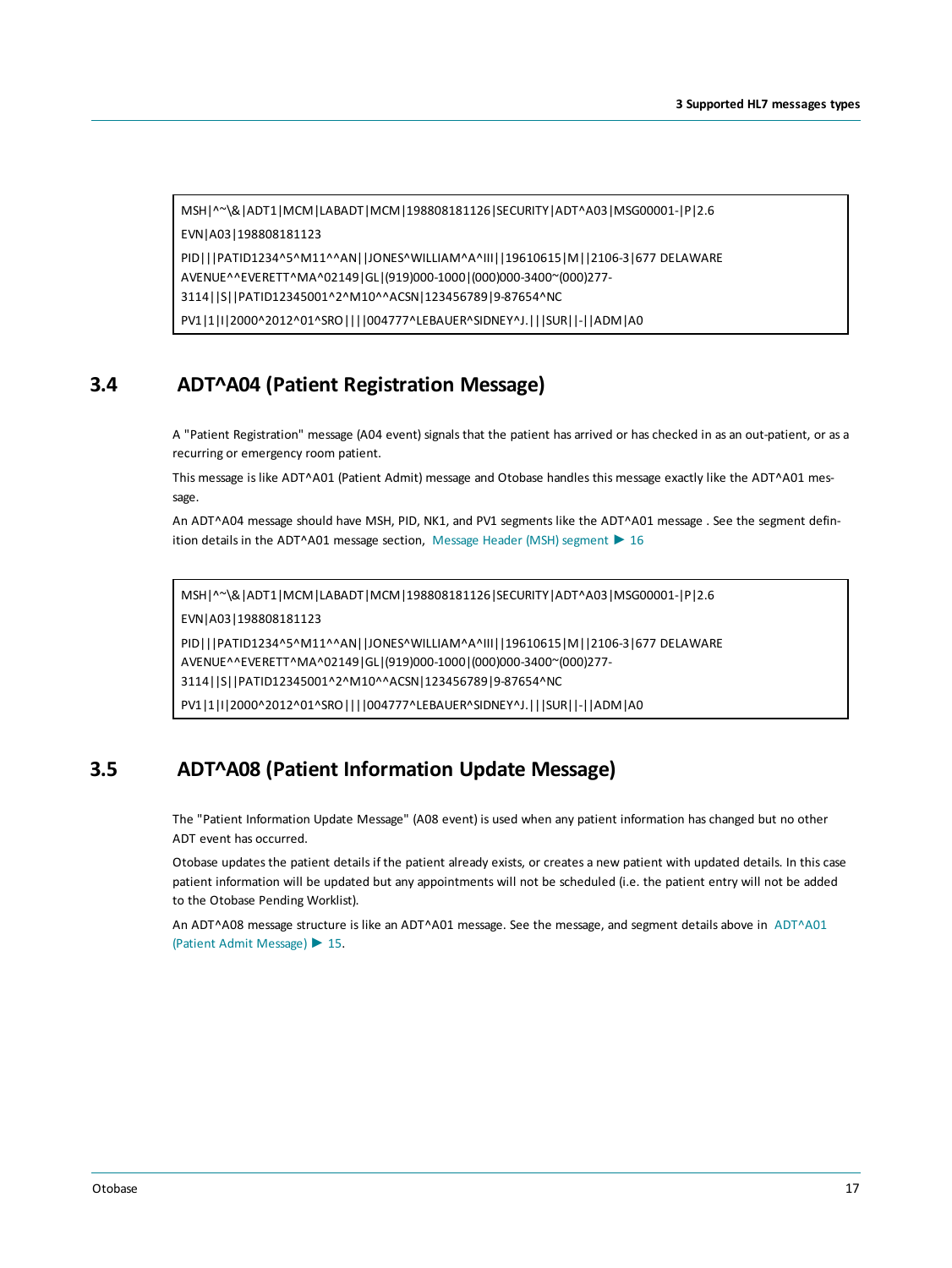```
MSH|^~\&|ADT1|MCM|LABADT|MCM|198808181126|SECURITY|ADT^A03|MSG00001-|P|2.6
EVN|A03|198808181123
PID|||PATID1234^5^M11^^AN||JONES^WILLIAM^A^III||19610615|M||2106-3|677 DELAWARE
AVENUE^^EVERETT^MA^02149|GL|(919)000-1000|(000)000-3400~(000)277-
3114||S||PATID12345001^2^M10^^ACSN|123456789|9-87654^NC
```
<span id="page-16-0"></span>PV1|1|I|2000^2012^01^SRO||||004777^LEBAUER^SIDNEY^J.|||SUR||-||ADM|A0

## **3.4 ADT^A04 (Patient Registration Message)**

A "Patient Registration" message (A04 event) signals that the patient has arrived or has checked in as an out-patient, or as a recurring or emergency room patient.

This message is like ADT^A01 (Patient Admit) message and Otobase handles this message exactly like the ADT^A01 message.

An ADT^A04 message should have MSH, PID, NK1, and PV1 segments like the ADT^A01 message . See the segment definition details in the ADT^A01 message section, Message Header (MSH) [segment](#page-15-0) ► 16

MSH|^~\&|ADT1|MCM|LABADT|MCM|198808181126|SECURITY|ADT^A03|MSG00001-|P|2.6

EVN|A03|198808181123

PID|||PATID1234^5^M11^^AN||JONES^WILLIAM^A^III||19610615|M||2106-3|677 DELAWARE AVENUE^^EVERETT^MA^02149|GL|(919)000-1000|(000)000-3400~(000)277- 3114||S||PATID12345001^2^M10^^ACSN|123456789|9-87654^NC

<span id="page-16-1"></span>PV1|1|I|2000^2012^01^SRO||||004777^LEBAUER^SIDNEY^J.|||SUR||-||ADM|A0

# **3.5 ADT^A08 (Patient Information Update Message)**

The "Patient Information Update Message" (A08 event) is used when any patient information has changed but no other ADT event has occurred.

Otobase updates the patient details if the patient already exists, or creates a new patient with updated details. In this case patient information will be updated but any appointments will not be scheduled (i.e. the patient entry will not be added to the Otobase Pending Worklist).

An ADT^A08 message structure is like an ADT^A01 message. See the message, and segment details above in [ADT^A01](#page-14-1) (Patient Admit [Message\)](#page-14-1) ► 15.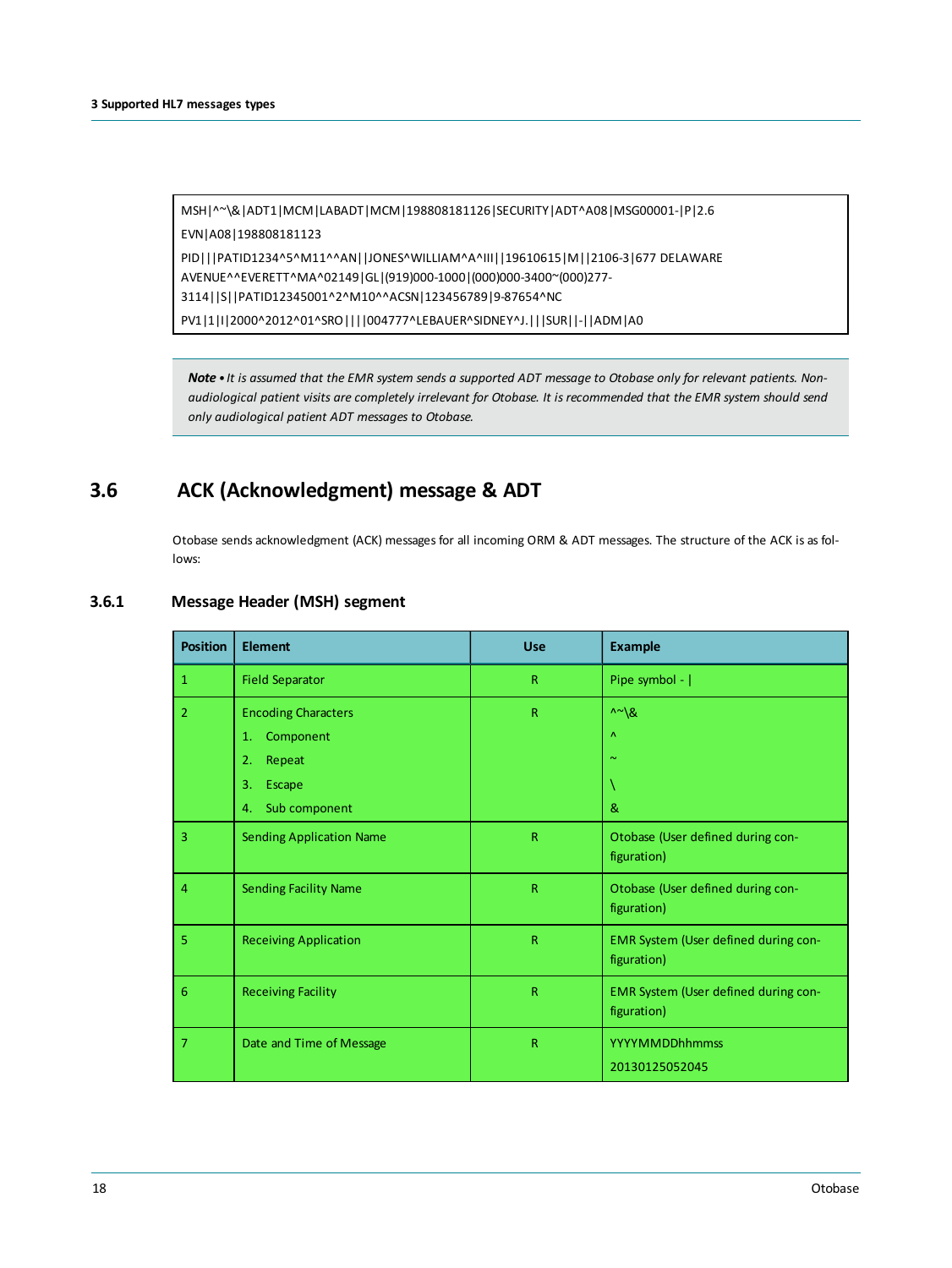MSH|^~\&|ADT1|MCM|LABADT|MCM|198808181126|SECURITY|ADT^A08|MSG00001-|P|2.6 EVN|A08|198808181123 PID|||PATID1234^5^M11^^AN||JONES^WILLIAM^A^III||19610615|M||2106-3|677 DELAWARE AVENUE^^EVERETT^MA^02149|GL|(919)000-1000|(000)000-3400~(000)277- 3114||S||PATID12345001^2^M10^^ACSN|123456789|9-87654^NC PV1|1|I|2000^2012^01^SRO||||004777^LEBAUER^SIDNEY^J.|||SUR||-||ADM|A0

<span id="page-17-0"></span>Note . It is assumed that the EMR system sends a supported ADT message to Otobase only for relevant patients. Nonaudiological patient visits are completely irrelevant for Otobase. It is recommended that the EMR system should send *only audiological patient ADT messages to Otobase.*

# **3.6 ACK (Acknowledgment) message & ADT**

<span id="page-17-1"></span>Otobase sends acknowledgment (ACK) messages for all incoming ORM & ADT messages. The structure of the ACK is as follows:

| <b>Position</b> | <b>Element</b>                  | <b>Use</b>   | <b>Example</b>                                      |
|-----------------|---------------------------------|--------------|-----------------------------------------------------|
| $\mathbf{1}$    | <b>Field Separator</b>          | $\mathsf{R}$ | Pipe symbol -                                       |
| $\overline{2}$  | <b>Encoding Characters</b>      | $\mathsf{R}$ | $\wedge \sim \mathcal{R}$                           |
|                 | Component<br>1.                 |              | Λ                                                   |
|                 | Repeat<br>2.                    |              | $\sim$                                              |
|                 | 3.<br>Escape                    |              |                                                     |
|                 | Sub component<br>4.             |              | &                                                   |
| $\overline{3}$  | <b>Sending Application Name</b> | $\mathsf{R}$ | Otobase (User defined during con-<br>figuration)    |
| $\overline{4}$  | <b>Sending Facility Name</b>    | $\mathsf{R}$ | Otobase (User defined during con-<br>figuration)    |
| 5               | <b>Receiving Application</b>    | $\mathsf{R}$ | EMR System (User defined during con-<br>figuration) |
| $6\phantom{1}6$ | <b>Receiving Facility</b>       | $\mathsf R$  | EMR System (User defined during con-<br>figuration) |
| 7               | Date and Time of Message        | R            | <b>YYYYMMDDhhmmss</b>                               |
|                 |                                 |              | 20130125052045                                      |

#### **3.6.1 Message Header (MSH) segment**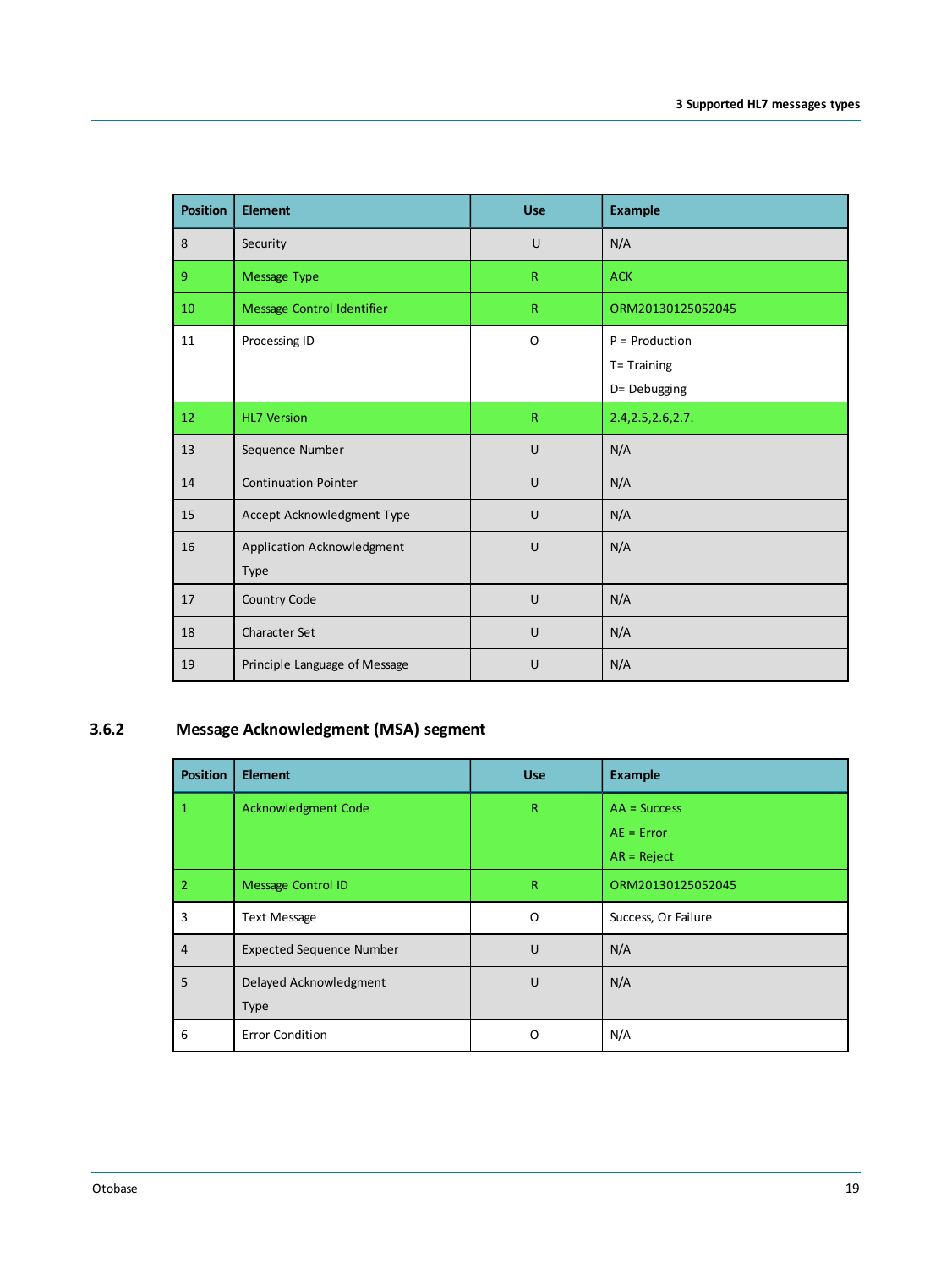| <b>Position</b> | <b>Element</b>                     | <b>Use</b>              | <b>Example</b>                                  |
|-----------------|------------------------------------|-------------------------|-------------------------------------------------|
| 8               | Security                           | U                       | N/A                                             |
| 9 <sup>°</sup>  | Message Type                       | $\overline{\mathsf{R}}$ | <b>ACK</b>                                      |
| 10              | Message Control Identifier         | $\mathsf{R}$            | ORM20130125052045                               |
| 11              | Processing ID                      | O                       | $P =$ Production<br>T= Training<br>D= Debugging |
| 12              | <b>HL7 Version</b>                 | $\mathsf{R}$            | 2.4, 2.5, 2.6, 2.7.                             |
| 13              | Sequence Number                    | U                       | N/A                                             |
| 14              | <b>Continuation Pointer</b>        | U                       | N/A                                             |
| 15              | Accept Acknowledgment Type         | U                       | N/A                                             |
| 16              | Application Acknowledgment<br>Type | U                       | N/A                                             |
| 17              | Country Code                       | U                       | N/A                                             |
| 18              | Character Set                      | U                       | N/A                                             |
| 19              | Principle Language of Message      | U                       | N/A                                             |

## **3.6.2 Message Acknowledgment (MSA) segment**

<span id="page-18-0"></span>

| <b>Position</b> | <b>Element</b>                  | <b>Use</b>   | <b>Example</b>      |
|-----------------|---------------------------------|--------------|---------------------|
| 1               | Acknowledgment Code             | $\mathsf{R}$ | $AA = Success$      |
|                 |                                 |              | $AE = Error$        |
|                 |                                 |              | $AR = Reject$       |
| $\overline{2}$  | <b>Message Control ID</b>       | $\mathsf{R}$ | ORM20130125052045   |
| 3               | Text Message                    | O            | Success, Or Failure |
| $\overline{4}$  | <b>Expected Sequence Number</b> | U            | N/A                 |
| 5               | Delayed Acknowledgment          | U            | N/A                 |
|                 | Type                            |              |                     |
| 6               | <b>Error Condition</b>          | 0            | N/A                 |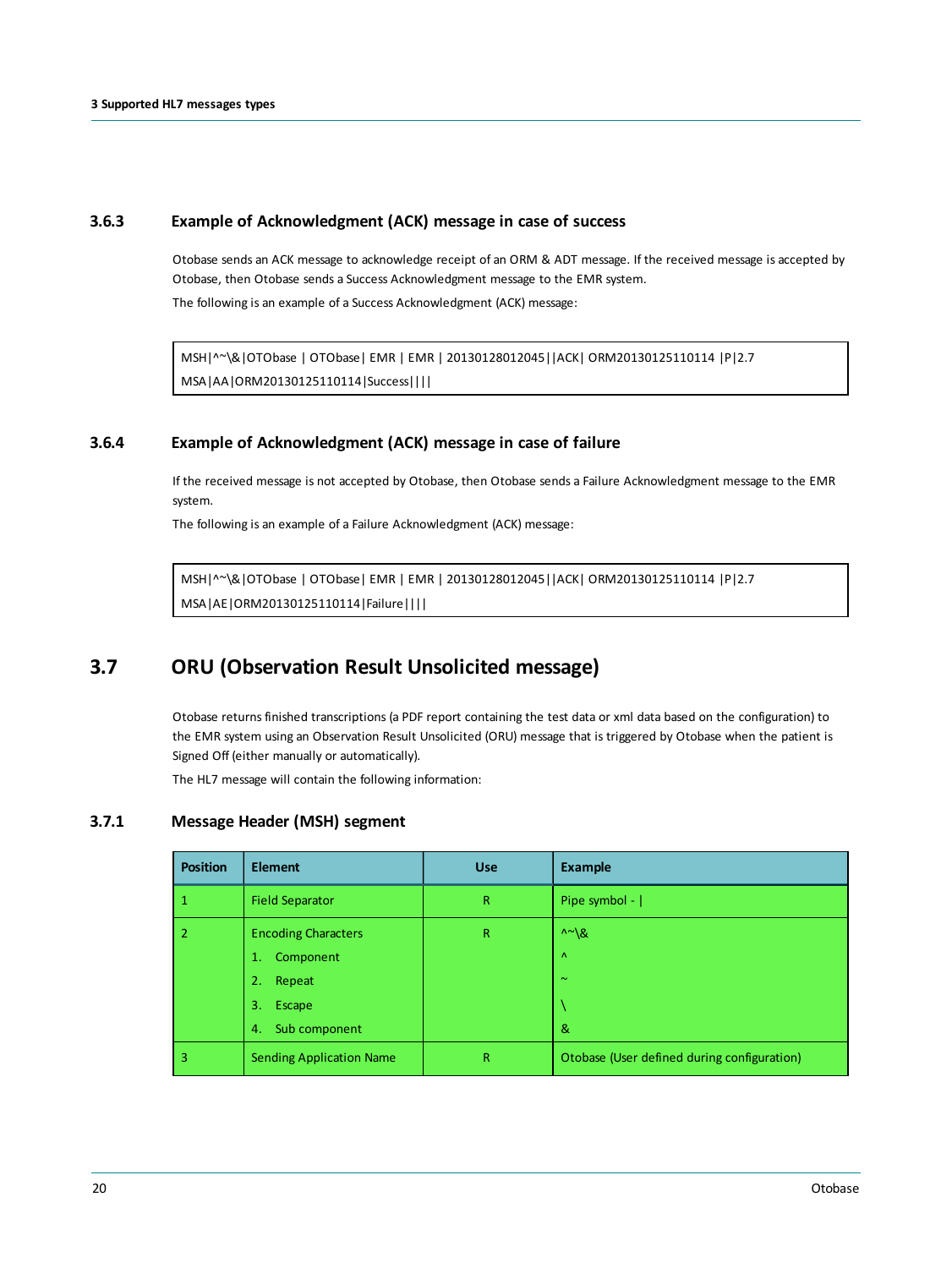#### **3.6.3 Example of Acknowledgment (ACK) message in case of success**

<span id="page-19-0"></span>Otobase sends an ACK message to acknowledge receipt of an ORM & ADT message. If the received message is accepted by Otobase, then Otobase sends a Success Acknowledgment message to the EMR system.

The following is an example of a Success Acknowledgment (ACK) message:

```
MSH|^~\&|OTObase | OTObase| EMR | EMR | 20130128012045||ACK| ORM20130125110114 |P|2.7
MSA|AA|ORM20130125110114|Success||||
```
### **3.6.4 Example of Acknowledgment (ACK) message in case of failure**

If the received message is not accepted by Otobase, then Otobase sends a Failure Acknowledgment message to the EMR system.

The following is an example of a Failure Acknowledgment (ACK) message:

<span id="page-19-2"></span>MSH|^~\&|OTObase | OTObase| EMR | EMR | 20130128012045||ACK| ORM20130125110114 |P|2.7 MSA|AE|ORM20130125110114|Failure||||

## **3.7 ORU (Observation Result Unsolicited message)**

Otobase returns finished transcriptions (a PDF report containing the test data or xml data based on the configuration) to the EMR system using an Observation Result Unsolicited (ORU) message that is triggered by Otobase when the patient is Signed Off (either manually or automatically).

<span id="page-19-3"></span>The HL7 message will contain the following information:

#### **3.7.1 Message Header (MSH) segment**

| <b>Position</b> | <b>Element</b>                  | <b>Use</b>  | <b>Example</b>                              |
|-----------------|---------------------------------|-------------|---------------------------------------------|
|                 | <b>Field Separator</b>          | $\mathsf R$ | Pipe symbol -                               |
| -2              | <b>Encoding Characters</b>      | $\mathsf R$ | $\wedge \sim \mathcal{R}$                   |
|                 | Component<br>1.                 |             | $\Lambda$                                   |
|                 | 2.<br>Repeat                    |             | $\sim$                                      |
|                 | Escape<br>3.                    |             |                                             |
|                 | Sub component<br>4.             |             | &                                           |
| 3               | <b>Sending Application Name</b> | R           | Otobase (User defined during configuration) |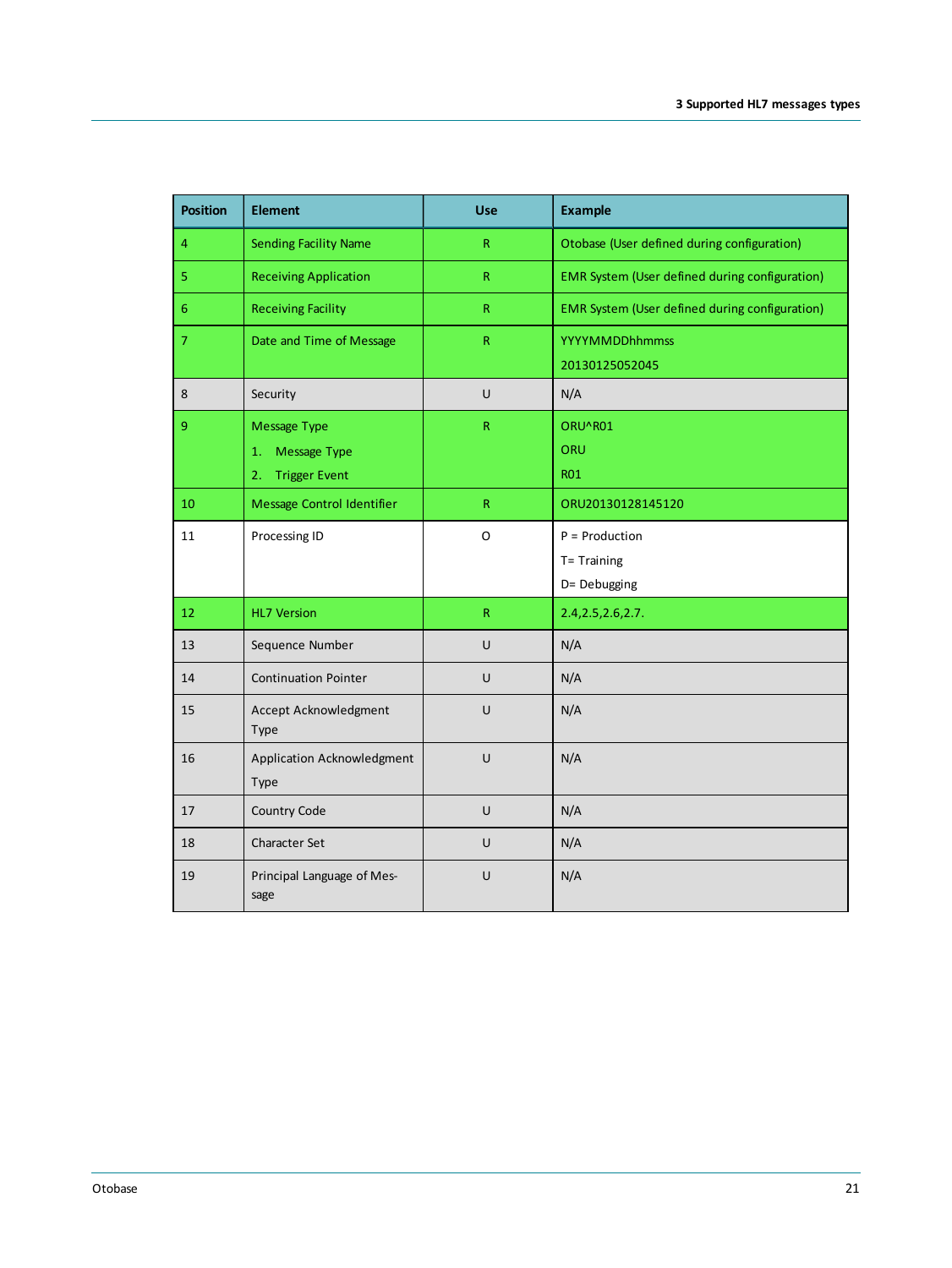| <b>Position</b> | <b>Element</b>                                                          | Use          | <b>Example</b>                                  |
|-----------------|-------------------------------------------------------------------------|--------------|-------------------------------------------------|
| 4               | <b>Sending Facility Name</b>                                            | $\mathsf R$  | Otobase (User defined during configuration)     |
| 5               | <b>Receiving Application</b>                                            | $\mathsf{R}$ | EMR System (User defined during configuration)  |
| $6\phantom{1}$  | <b>Receiving Facility</b>                                               | $\mathsf R$  | EMR System (User defined during configuration)  |
| $\overline{7}$  | Date and Time of Message                                                | $\mathsf{R}$ | <b>YYYYMMDDhhmmss</b><br>20130125052045         |
| 8               | Security                                                                | U            | N/A                                             |
| 9               | <b>Message Type</b><br>Message Type<br>1.<br><b>Trigger Event</b><br>2. | $\mathsf R$  | ORU^R01<br>ORU<br><b>RO1</b>                    |
| 10              | Message Control Identifier                                              | $\mathsf{R}$ | ORU20130128145120                               |
| 11              | Processing ID                                                           | O            | $P =$ Production<br>T= Training<br>D= Debugging |
| 12              | <b>HL7 Version</b>                                                      | ${\sf R}$    | 2.4, 2.5, 2.6, 2.7.                             |
| 13              | Sequence Number                                                         | U            | N/A                                             |
| 14              | <b>Continuation Pointer</b>                                             | U            | N/A                                             |
| 15              | Accept Acknowledgment<br>Type                                           | U            | N/A                                             |
| 16              | Application Acknowledgment<br>Type                                      | U            | N/A                                             |
| 17              | Country Code                                                            | U            | N/A                                             |
| 18              | <b>Character Set</b>                                                    | U            | N/A                                             |
| 19              | Principal Language of Mes-<br>sage                                      | U            | N/A                                             |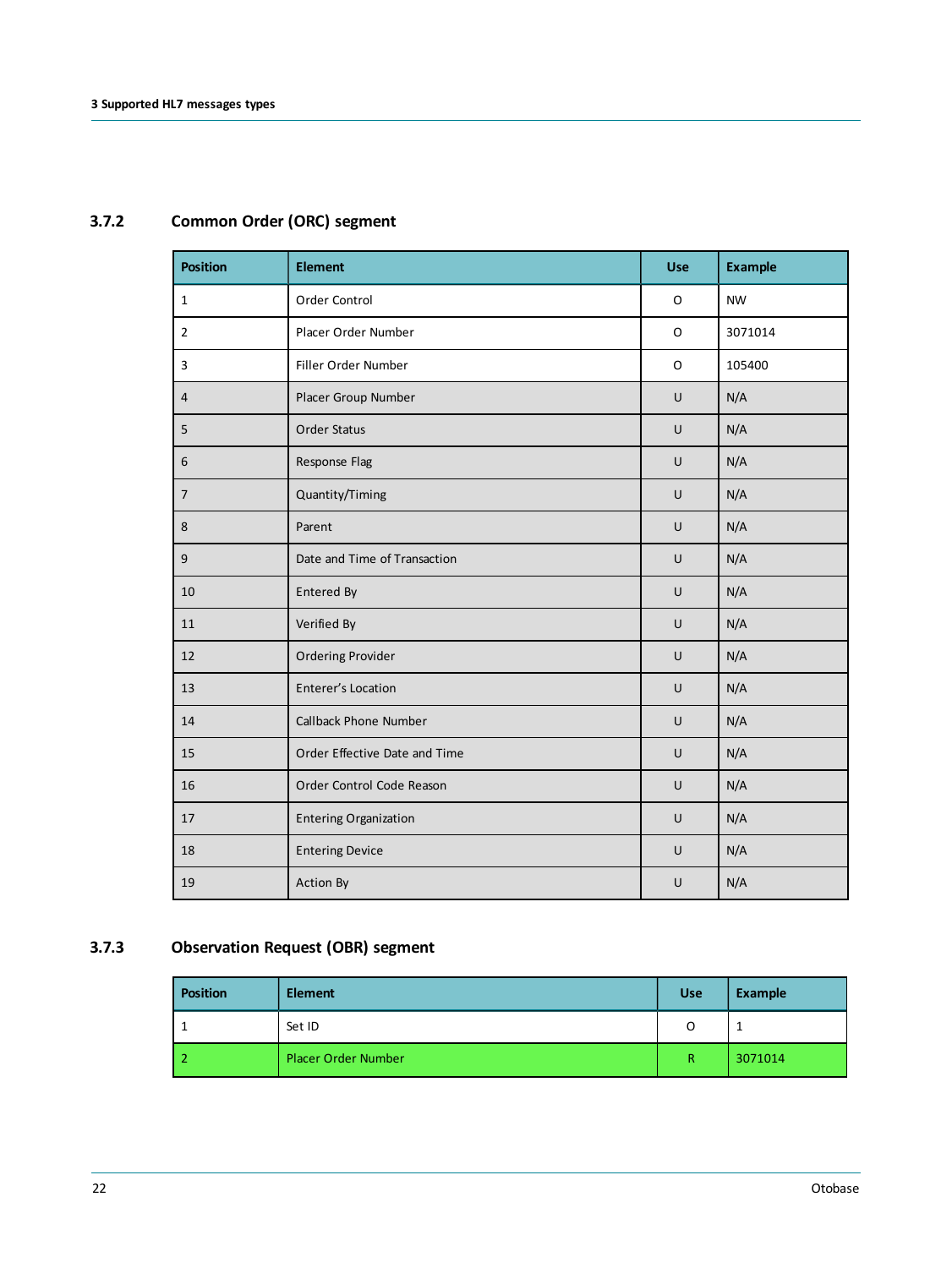<span id="page-21-0"></span>

| <b>Position</b> | <b>Element</b>                | <b>Use</b> | <b>Example</b> |
|-----------------|-------------------------------|------------|----------------|
| $\mathbf{1}$    | Order Control                 | $\circ$    | <b>NW</b>      |
| $\overline{2}$  | Placer Order Number           | O          | 3071014        |
| $\overline{3}$  | Filler Order Number           | O          | 105400         |
| 4               | Placer Group Number           | U          | N/A            |
| 5               | <b>Order Status</b>           | $\cup$     | N/A            |
| $6\phantom{1}6$ | Response Flag                 | $\cup$     | N/A            |
| $\overline{7}$  | Quantity/Timing               | U          | N/A            |
| 8               | Parent                        | $\cup$     | N/A            |
| $9\,$           | Date and Time of Transaction  | U          | N/A            |
| 10              | Entered By                    | U          | N/A            |
| 11              | Verified By                   | U          | N/A            |
| 12              | <b>Ordering Provider</b>      | $\cup$     | N/A            |
| 13              | Enterer's Location            | U          | N/A            |
| 14              | <b>Callback Phone Number</b>  | U          | N/A            |
| 15              | Order Effective Date and Time | $\cup$     | N/A            |
| 16              | Order Control Code Reason     | $\cup$     | N/A            |
| 17              | <b>Entering Organization</b>  | U          | N/A            |
| 18              | <b>Entering Device</b>        | U          | N/A            |
| 19              | Action By                     | U          | N/A            |

# **3.7.2 Common Order (ORC) segment**

### **3.7.3 Observation Request (OBR) segment**

<span id="page-21-1"></span>

| <b>Position</b> | <b>Element</b>             | <b>Use</b>  | <b>Example</b> |
|-----------------|----------------------------|-------------|----------------|
|                 | Set ID                     | O           |                |
|                 | <b>Placer Order Number</b> | $\mathsf R$ | 3071014        |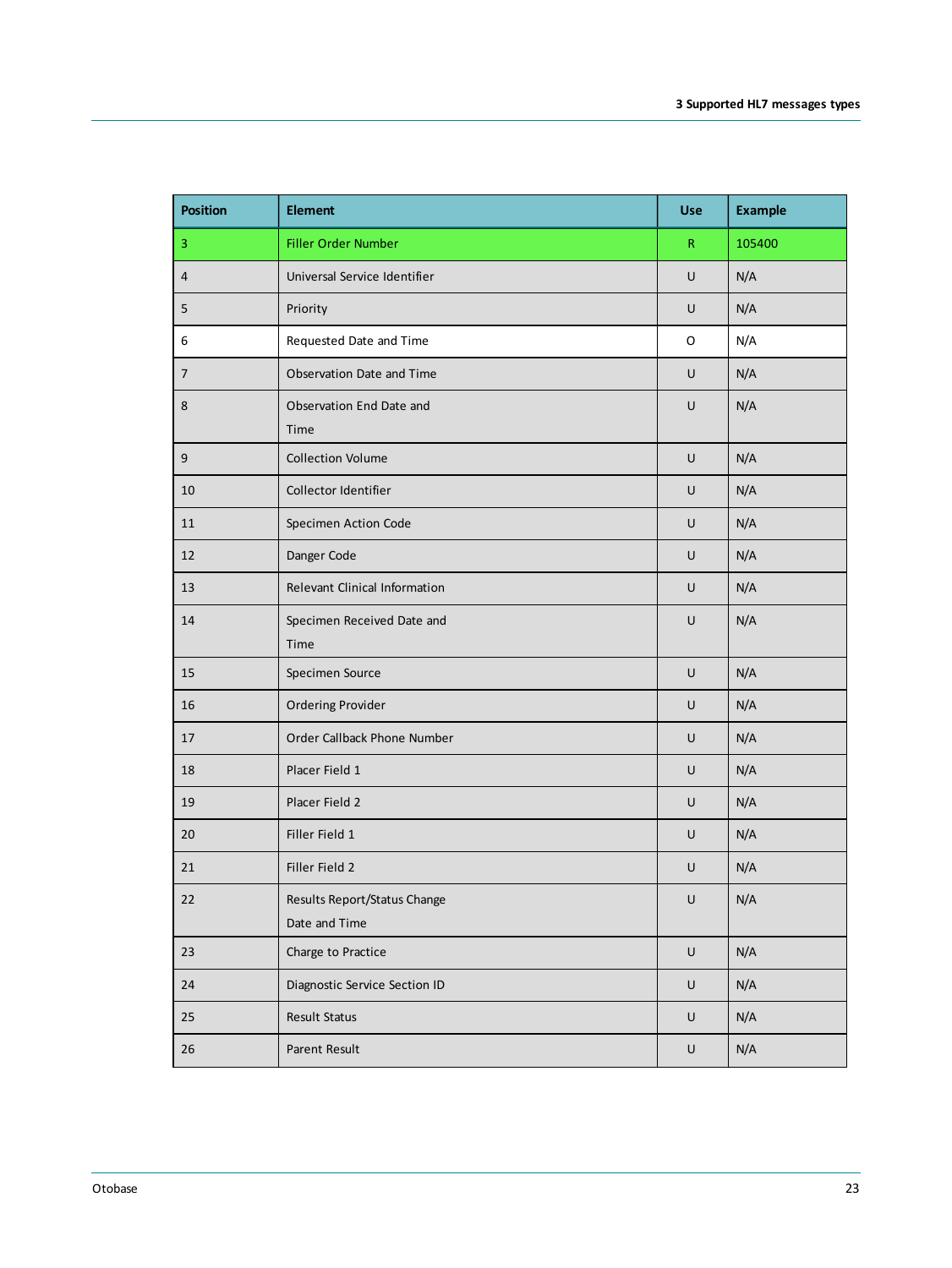| <b>Position</b>  | <b>Element</b>                                | <b>Use</b> | <b>Example</b> |
|------------------|-----------------------------------------------|------------|----------------|
| 3                | Filler Order Number                           | R          | 105400         |
| $\overline{4}$   | Universal Service Identifier                  | U          | N/A            |
| 5                | Priority                                      | U          | N/A            |
| 6                | Requested Date and Time                       | O          | N/A            |
| $\overline{7}$   | Observation Date and Time                     | U          | N/A            |
| 8                | Observation End Date and<br>Time              | U          | N/A            |
| $\boldsymbol{9}$ | <b>Collection Volume</b>                      | U          | N/A            |
| 10               | Collector Identifier                          | U          | N/A            |
| 11               | Specimen Action Code                          | U          | N/A            |
| 12               | Danger Code                                   | U          | N/A            |
| 13               | Relevant Clinical Information                 | U          | N/A            |
| 14               | Specimen Received Date and<br>Time            | U          | N/A            |
| 15               | Specimen Source                               | U          | N/A            |
| 16               | <b>Ordering Provider</b>                      | U          | N/A            |
| 17               | Order Callback Phone Number                   | U          | N/A            |
| 18               | Placer Field 1                                | U          | N/A            |
| 19               | Placer Field 2                                | U          | N/A            |
| 20               | Filler Field 1                                | U          | N/A            |
| 21               | Filler Field 2                                | U          | N/A            |
| 22               | Results Report/Status Change<br>Date and Time | U          | N/A            |
| 23               | Charge to Practice                            | U          | N/A            |
| 24               | Diagnostic Service Section ID                 | U          | N/A            |
| 25               | Result Status                                 | U          | N/A            |
| 26               | Parent Result                                 | U          | N/A            |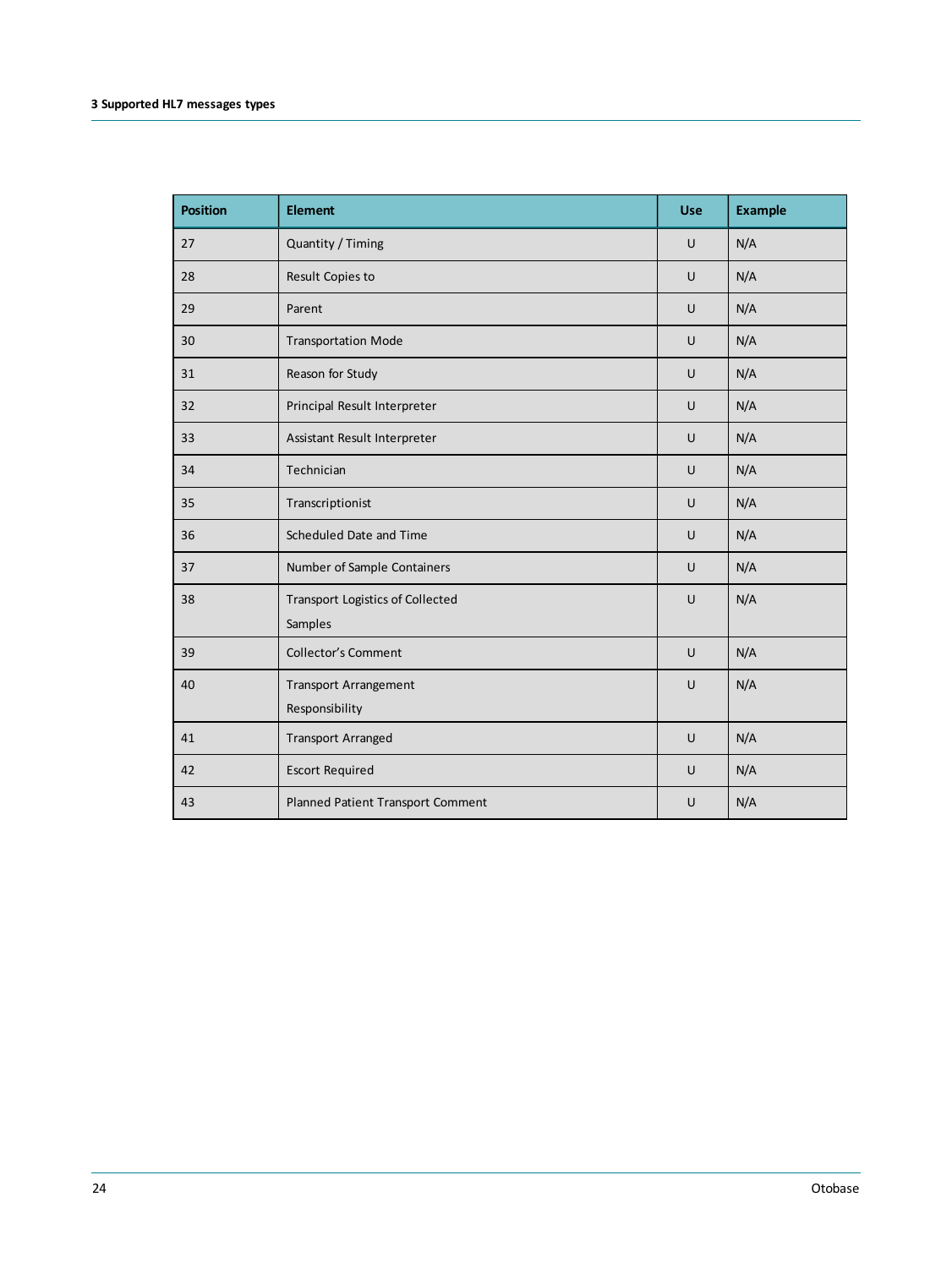| <b>Position</b> | <b>Element</b>                                     | <b>Use</b> | <b>Example</b> |
|-----------------|----------------------------------------------------|------------|----------------|
| 27              | Quantity / Timing                                  | U          | N/A            |
| 28              | Result Copies to                                   | U          | N/A            |
| 29              | Parent                                             | U          | N/A            |
| 30              | <b>Transportation Mode</b>                         | U          | N/A            |
| 31              | Reason for Study                                   | U          | N/A            |
| 32              | Principal Result Interpreter                       | U          | N/A            |
| 33              | Assistant Result Interpreter                       | U          | N/A            |
| 34              | Technician                                         | U          | N/A            |
| 35              | Transcriptionist                                   | U          | N/A            |
| 36              | Scheduled Date and Time                            | U          | N/A            |
| 37              | Number of Sample Containers                        | U          | N/A            |
| 38              | <b>Transport Logistics of Collected</b><br>Samples | U          | N/A            |
| 39              | <b>Collector's Comment</b>                         | $\cup$     | N/A            |
| 40              | <b>Transport Arrangement</b><br>Responsibility     | U          | N/A            |
| 41              | <b>Transport Arranged</b>                          | U          | N/A            |
| 42              | <b>Escort Required</b>                             | U          | N/A            |
| 43              | Planned Patient Transport Comment                  | U          | N/A            |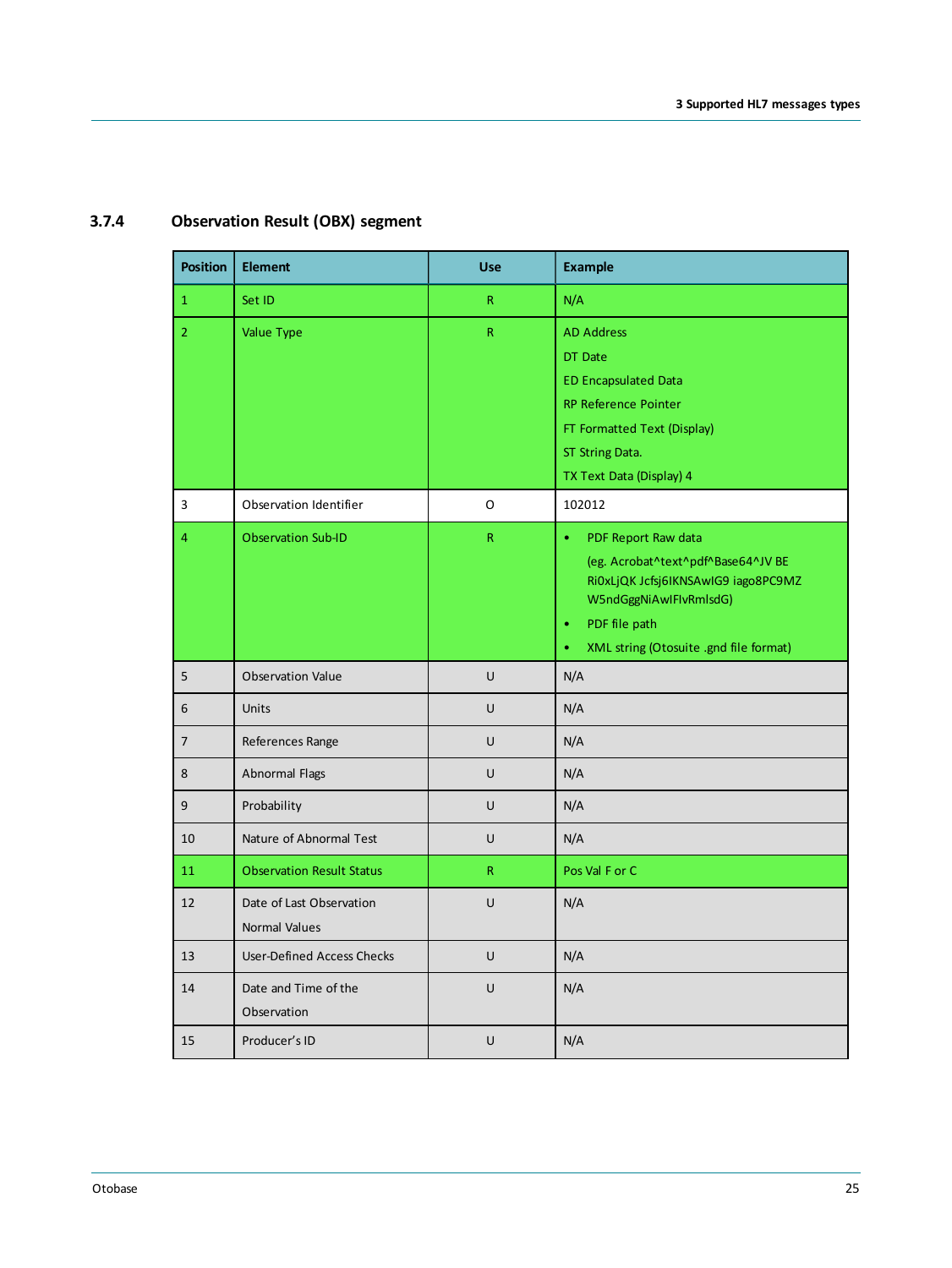<span id="page-24-0"></span>

| <b>Position</b> | <b>Element</b>                    | <b>Use</b>   | <b>Example</b>                                                |
|-----------------|-----------------------------------|--------------|---------------------------------------------------------------|
| $\mathbf{1}$    | Set ID                            | R            | N/A                                                           |
| $\overline{2}$  | Value Type                        | $\mathsf{R}$ | <b>AD Address</b>                                             |
|                 |                                   |              | DT Date                                                       |
|                 |                                   |              | <b>ED Encapsulated Data</b>                                   |
|                 |                                   |              | RP Reference Pointer                                          |
|                 |                                   |              | FT Formatted Text (Display)                                   |
|                 |                                   |              | ST String Data.                                               |
|                 |                                   |              | TX Text Data (Display) 4                                      |
| 3               | Observation Identifier            | O            | 102012                                                        |
| 4               | <b>Observation Sub-ID</b>         | $\mathsf{R}$ | PDF Report Raw data<br>$\bullet$                              |
|                 |                                   |              | (eg. Acrobat^text^pdf^Base64^JV BE                            |
|                 |                                   |              | RIOxLJQK Jcfsj6IKNSAwIG9 iago8PC9MZ<br>W5ndGggNiAwlFlvRmlsdG) |
|                 |                                   |              | PDF file path<br>$\bullet$                                    |
|                 |                                   |              | XML string (Otosuite .gnd file format)<br>$\bullet$           |
| 5               | <b>Observation Value</b>          | U            | N/A                                                           |
| 6               | <b>Units</b>                      | U            | N/A                                                           |
| $\overline{7}$  | References Range                  | U            | N/A                                                           |
|                 |                                   |              |                                                               |
| 8               | Abnormal Flags                    | U            | N/A                                                           |
| 9               | Probability                       | U            | N/A                                                           |
| 10              | Nature of Abnormal Test           | U            | N/A                                                           |
| 11              | <b>Observation Result Status</b>  | R            | Pos Val F or C                                                |
| 12              | Date of Last Observation          | U            | N/A                                                           |
|                 | Normal Values                     |              |                                                               |
| 13              | <b>User-Defined Access Checks</b> | U            | N/A                                                           |
| 14              | Date and Time of the              | U            | N/A                                                           |
|                 | Observation                       |              |                                                               |
| 15              | Producer's ID                     | U            | N/A                                                           |

## **3.7.4 Observation Result (OBX) segment**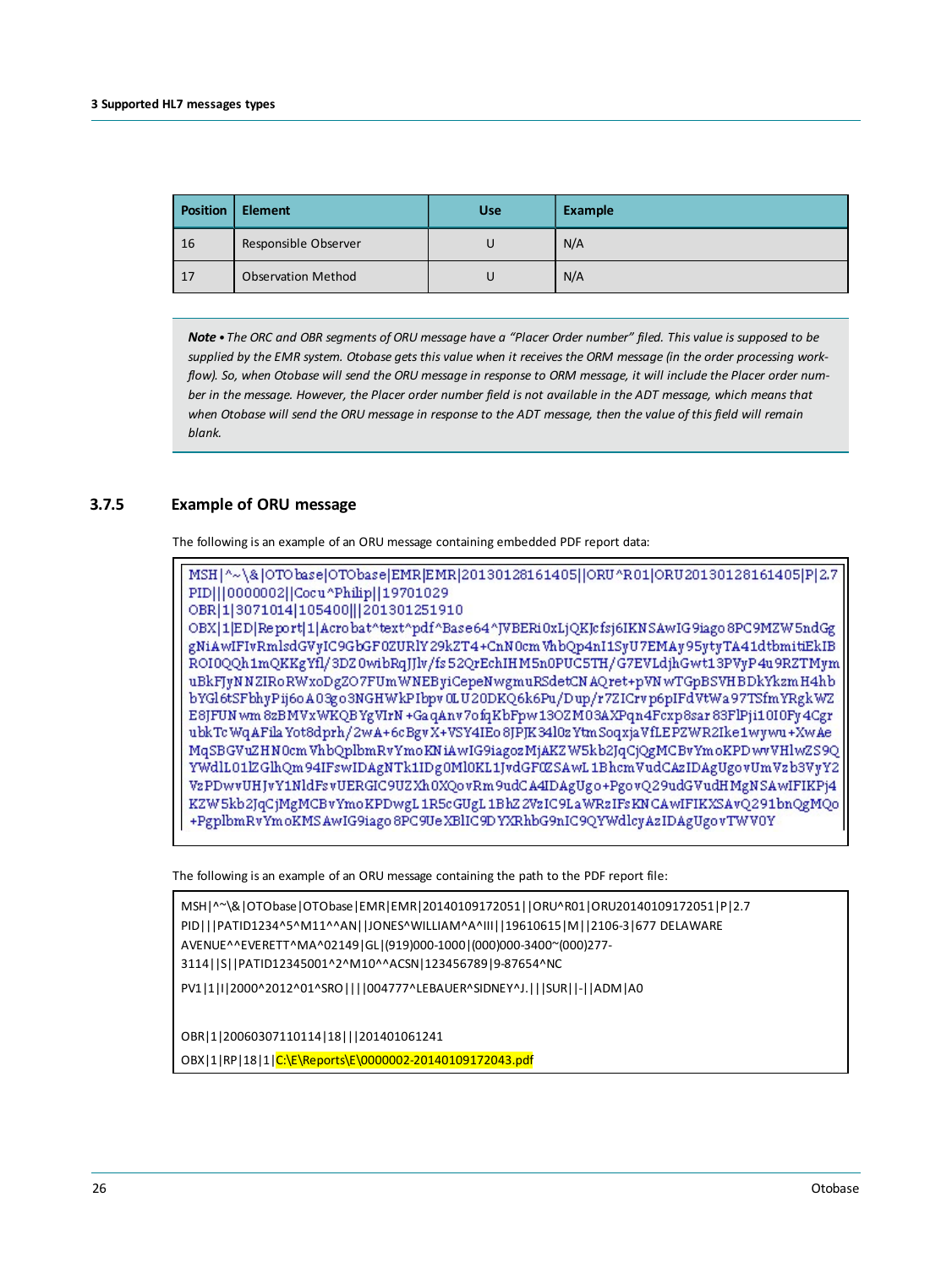| Position   | <b>Element</b>            | <b>Use</b> | Example |
|------------|---------------------------|------------|---------|
| $\vert$ 16 | Responsible Observer      |            | N/A     |
| $\vert$ 17 | <b>Observation Method</b> |            | N/A     |

Note • The ORC and OBR seaments of ORU message have a "Placer Order number" filed. This value is supposed to be supplied by the EMR system. Otobase gets this value when it receives the ORM message (in the order processing workflow). So, when Otobase will send the ORU message in response to ORM message, it will include the Placer order number in the message. However, the Placer order number field is not available in the ADT message, which means that when Otobase will send the ORU message in response to the ADT message, then the value of this field will remain *blank.*

#### **3.7.5 Example of ORU message**

<span id="page-25-0"></span>The following is an example of an ORU message containing embedded PDF report data:

```
MSH|^~\&|OTObase|OTObase|EMR|EMR|20130128161405||ORU^R01|ORU20130128161405|P|2.7
PID|||0000002||Cocu^Philip||19701029
OBR 1 3071014 105400 | 201301251910
OBX|1|ED|Report|1|Acrobat^text^pdf^Base64^JVBERi0xLjQKJcfsj6IKNSAwIG9iago8PC9MZW5ndGg
gNiAwIFIvRmlsdGVvIC9GbGF0ZURlY29kZT4+CnN0cmWhbOp4nI1SvU7EMAv95vtvTA41dtbmitiEkIB
ROI0QQh1mQKKgYfl/3DZ0wibRqJJlv/fs52QrEchIHM5n0PUC5TH/G7EVLdjhGwt13PVyP4u9RZTMym
uBkFJyNNZIRoRWxoDgZO7FUmWNEByiCepeNwgmuRSdetCNAQret+pVNwTGpBSVHBDkYkzmH4hb
bYGl6tSFbhyPij6oA03go3NGHWkPIbpv0LU20DKQ6k6Pu/Dup/r7ZICrvp6pIFdVtWa97TSfmYRgkWZ
E8JFUN wm 8zBMVxWKQBYgVIrN +Ga qAnv7ofqKbFpw13OZM03AXPqn4Fcxp8sar 83FlPji10I0Fy4Cgr
ubkTcWqAFilaYot8dprh/2wA+6cBgvX+VSY4IEo8JPJK34l0zYtmSoqxjaVfLEPZWR2Ike1wywu+XwAe
MqSBGVuZHN0cmVhbQplbmRvYmoKNiAwIG9iagozMjAKZW5kb2JqCjQgMCBvYmoKPDwvVHlwZS9Q
YWdlL01lZGlhQm94IFswIDAgNTk1IDg0Ml0KL1JvdGF0ZSAwL1BhcmVudCAzIDAgUgovUmVzb3VyY2
VzPDwvUHJvY1NldFsvUERGIC9UZXh0XQovRm9udCA4IDAgUgo+PgovQ29udGVudHMgNSAwIFIKPj4
KZW5kb2JqCjMgMCBvYmoKPDwgL1R5cGUgL1BhZ2VzIC9LaWRzIFsKNCAwIFIKXSAvQ291bnQgMQo
+PgplbmRvYmoKMSAwIG9iago8PC9UeXBlIC9DYXRhbG9nIC9QYWdlcyAzIDAgUgovTWV0Y
```
The following is an example of an ORU message containing the path to the PDF report file:

```
MSH|^~\&|OTObase|OTObase|EMR|EMR|20140109172051||ORU^R01|ORU20140109172051|P|2.7
PID|||PATID1234^5^M11^^AN||JONES^WILLIAM^A^III||19610615|M||2106-3|677 DELAWARE
AVENUE^^EVERETT^MA^02149|GL|(919)000-1000|(000)000-3400~(000)277-
3114||S||PATID12345001^2^M10^^ACSN|123456789|9-87654^NC
PV1|1|I|2000^2012^01^SRO||||004777^LEBAUER^SIDNEY^J.|||SUR||-||ADM|A0
```
OBR|1|20060307110114|18|||201401061241

OBX|1|RP|18|1|C:\E\Reports\E\0000002-20140109172043.pdf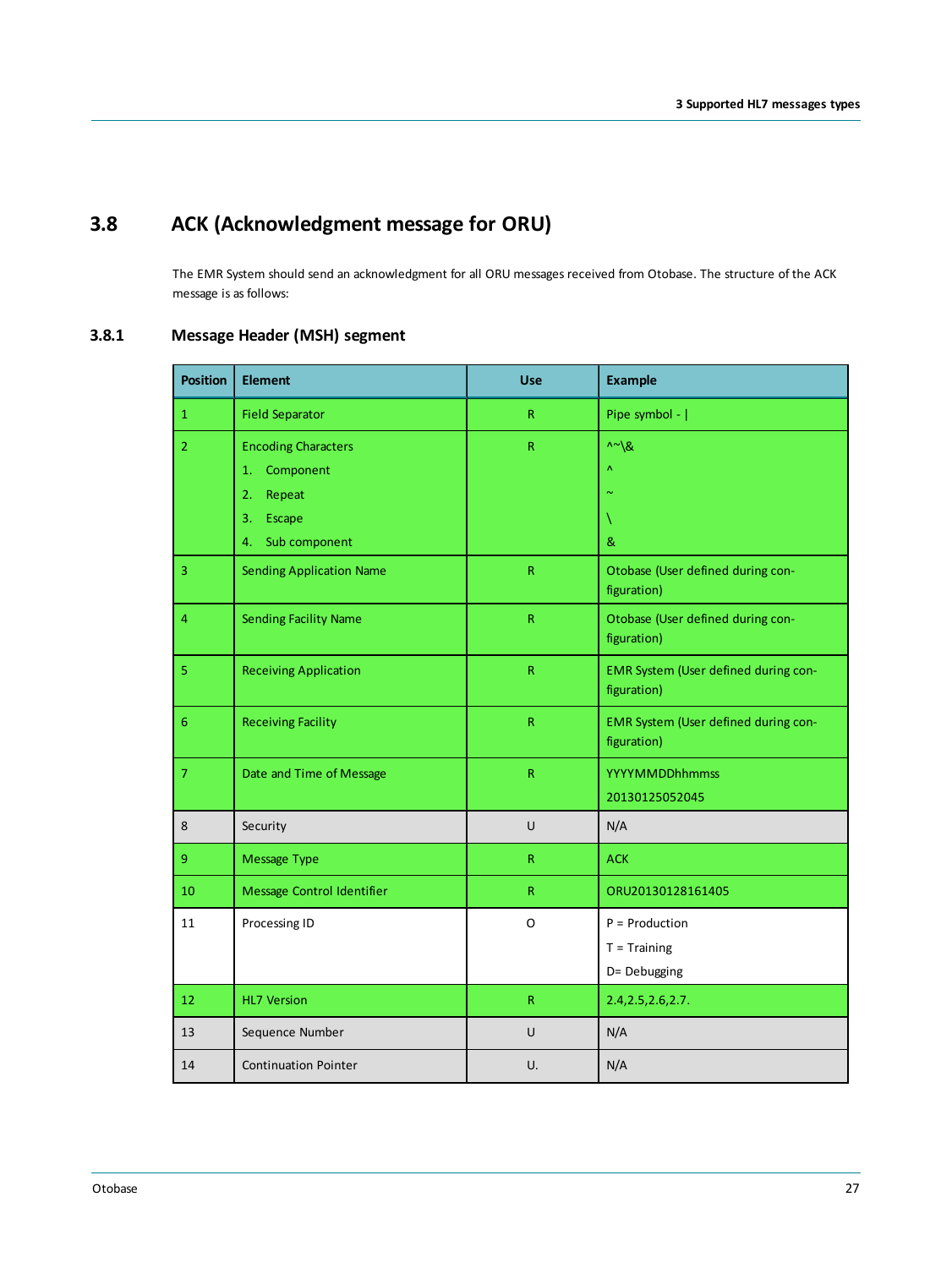# **3.8 ACK (Acknowledgment message for ORU)**

<span id="page-26-1"></span><span id="page-26-0"></span>The EMR System should send an acknowledgment for all ORU messages received from Otobase. The structure of the ACK message is as follows:

### **3.8.1 Message Header (MSH) segment**

| <b>Position</b> | <b>Element</b>                  | <b>Use</b>              | <b>Example</b>                                      |
|-----------------|---------------------------------|-------------------------|-----------------------------------------------------|
| $\mathbf{1}$    | <b>Field Separator</b>          | R                       | Pipe symbol -                                       |
| $\overline{2}$  | <b>Encoding Characters</b>      | ${\sf R}$               | $\wedge \sim \backslash \&$                         |
|                 | Component<br>1.                 |                         | $\boldsymbol{\Lambda}$                              |
|                 | 2.<br>Repeat                    |                         | $\sim$                                              |
|                 | 3.<br>Escape                    |                         |                                                     |
|                 | Sub component<br>4.             |                         | &                                                   |
| 3               | <b>Sending Application Name</b> | $\mathsf R$             | Otobase (User defined during con-<br>figuration)    |
| 4               | <b>Sending Facility Name</b>    | ${\sf R}$               | Otobase (User defined during con-<br>figuration)    |
| 5               | <b>Receiving Application</b>    | ${\sf R}$               | EMR System (User defined during con-<br>figuration) |
| 6               | <b>Receiving Facility</b>       | R                       | EMR System (User defined during con-<br>figuration) |
| $\overline{7}$  | Date and Time of Message        | $\overline{\mathsf{R}}$ | <b>YYYYMMDDhhmmss</b>                               |
|                 |                                 |                         | 20130125052045                                      |
| 8               | Security                        | U                       | N/A                                                 |
| 9               | Message Type                    | R.                      | <b>ACK</b>                                          |
| 10              | Message Control Identifier      | R.                      | ORU20130128161405                                   |
| 11              | Processing ID                   | O                       | $P =$ Production                                    |
|                 |                                 |                         | $T = Triaining$                                     |
|                 |                                 |                         | D= Debugging                                        |
| 12              | <b>HL7 Version</b>              | R                       | 2.4, 2.5, 2.6, 2.7.                                 |
| 13              | Sequence Number                 | U                       | N/A                                                 |
| 14              | <b>Continuation Pointer</b>     | U.                      | N/A                                                 |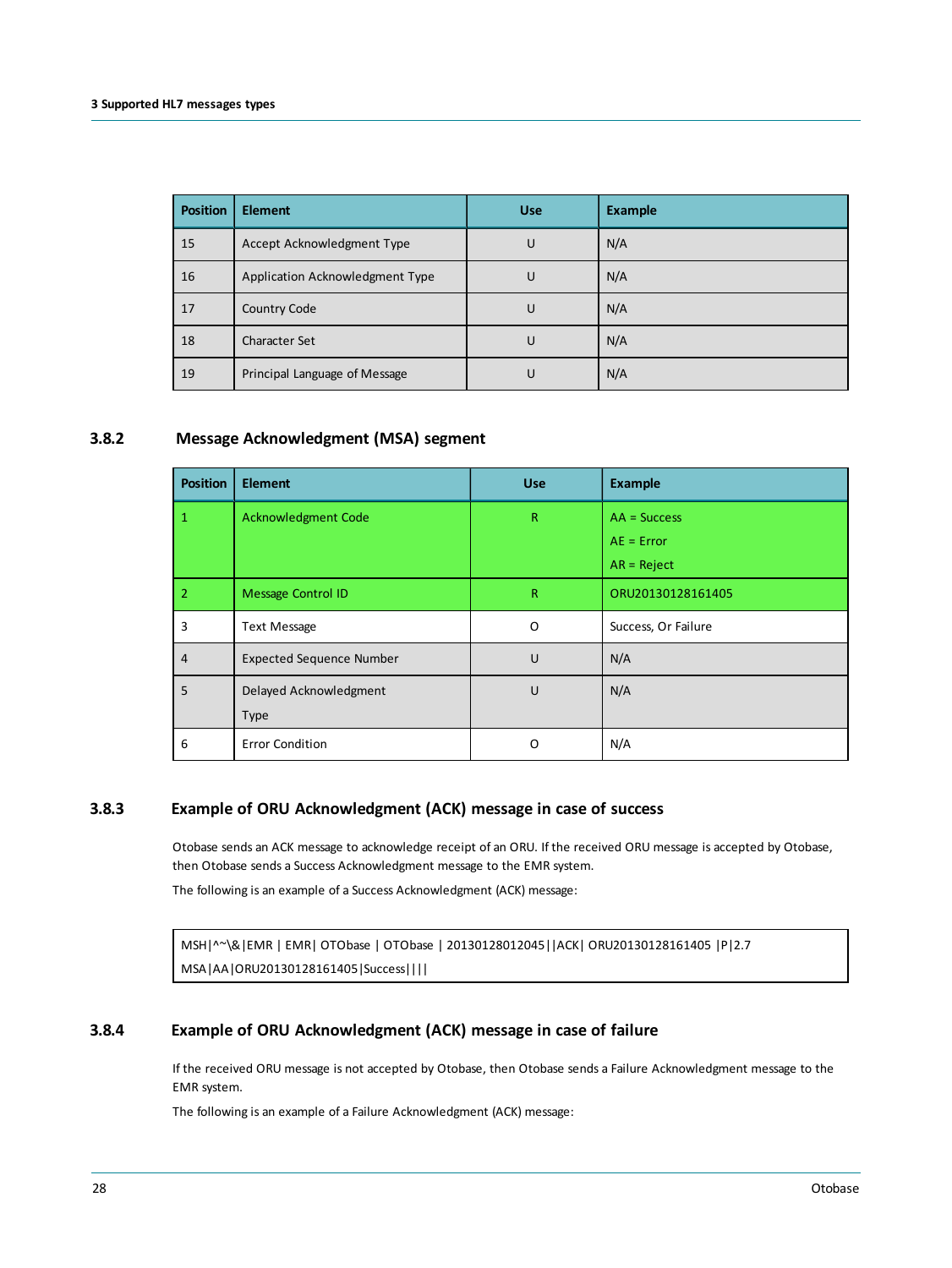| <b>Position</b> | <b>Element</b>                  | <b>Use</b> | <b>Example</b> |
|-----------------|---------------------------------|------------|----------------|
| 15              | Accept Acknowledgment Type      | U          | N/A            |
| 16              | Application Acknowledgment Type | U          | N/A            |
| 17              | Country Code                    | U          | N/A            |
| 18              | <b>Character Set</b>            | U          | N/A            |
| 19              | Principal Language of Message   | U          | N/A            |

#### **3.8.2 Message Acknowledgment (MSA) segment**

<span id="page-27-0"></span>

| <b>Position</b> | <b>Element</b>                  | <b>Use</b>   | <b>Example</b>      |
|-----------------|---------------------------------|--------------|---------------------|
| 1               | <b>Acknowledgment Code</b>      | $\mathsf{R}$ | $AA = Success$      |
|                 |                                 |              | $AE = Error$        |
|                 |                                 |              | $AR = Reject$       |
| $\overline{2}$  | <b>Message Control ID</b>       | $\mathsf{R}$ | ORU20130128161405   |
| 3               | <b>Text Message</b>             | O            | Success, Or Failure |
| $\overline{4}$  | <b>Expected Sequence Number</b> | U            | N/A                 |
| 5               | Delayed Acknowledgment          | U            | N/A                 |
|                 | <b>Type</b>                     |              |                     |
| 6               | <b>Error Condition</b>          | O            | N/A                 |

#### **3.8.3 Example of ORU Acknowledgment (ACK) message in case of success**

<span id="page-27-1"></span>Otobase sends an ACK message to acknowledge receipt of an ORU. If the received ORU message is accepted by Otobase, then Otobase sends a Success Acknowledgment message to the EMR system.

The following is an example of a Success Acknowledgment (ACK) message:

<span id="page-27-2"></span>MSH|^~\&|EMR | EMR| OTObase | OTObase | 20130128012045||ACK| ORU20130128161405 |P|2.7 MSA|AA|ORU20130128161405|Success||||

#### **3.8.4 Example of ORU Acknowledgment (ACK) message in case of failure**

If the received ORU message is not accepted by Otobase, then Otobase sends a Failure Acknowledgment message to the EMR system.

The following is an example of a Failure Acknowledgment (ACK) message: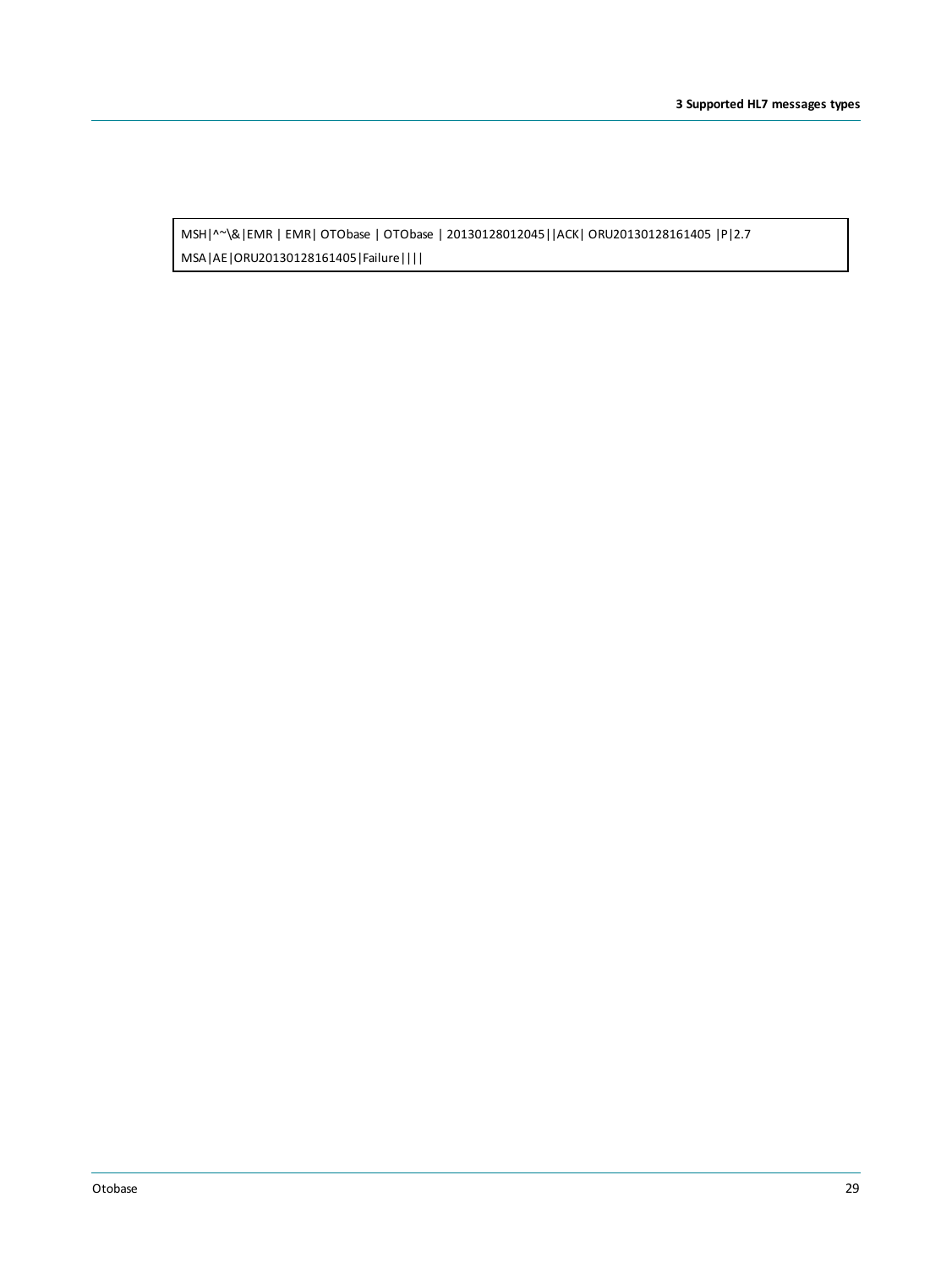MSH|^~\&|EMR | EMR| OTObase | OTObase | 20130128012045||ACK| ORU20130128161405 |P|2.7 MSA|AE|ORU20130128161405|Failure||||